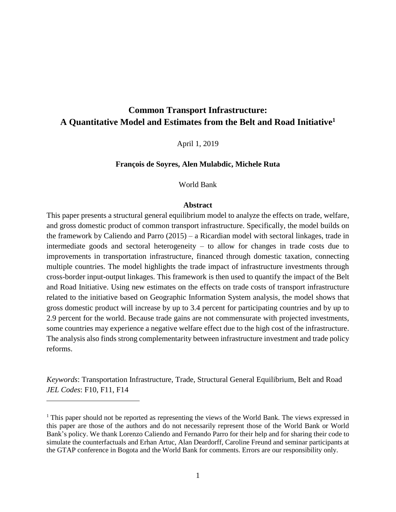## **Common Transport Infrastructure: A Quantitative Model and Estimates from the Belt and Road Initiative<sup>1</sup>**

April 1, 2019

### **François de Soyres, Alen Mulabdic, Michele Ruta**

#### World Bank

#### **Abstract**

This paper presents a structural general equilibrium model to analyze the effects on trade, welfare, and gross domestic product of common transport infrastructure. Specifically, the model builds on the framework by Caliendo and Parro (2015) – a Ricardian model with sectoral linkages, trade in intermediate goods and sectoral heterogeneity – to allow for changes in trade costs due to improvements in transportation infrastructure, financed through domestic taxation, connecting multiple countries. The model highlights the trade impact of infrastructure investments through cross-border input-output linkages. This framework is then used to quantify the impact of the Belt and Road Initiative. Using new estimates on the effects on trade costs of transport infrastructure related to the initiative based on Geographic Information System analysis, the model shows that gross domestic product will increase by up to 3.4 percent for participating countries and by up to 2.9 percent for the world. Because trade gains are not commensurate with projected investments, some countries may experience a negative welfare effect due to the high cost of the infrastructure. The analysis also finds strong complementarity between infrastructure investment and trade policy reforms.

*Keywords*: Transportation Infrastructure, Trade, Structural General Equilibrium, Belt and Road *JEL Codes*: F10, F11, F14

<sup>&</sup>lt;sup>1</sup> This paper should not be reported as representing the views of the World Bank. The views expressed in this paper are those of the authors and do not necessarily represent those of the World Bank or World Bank's policy. We thank Lorenzo Caliendo and Fernando Parro for their help and for sharing their code to simulate the counterfactuals and Erhan Artuc, Alan Deardorff, Caroline Freund and seminar participants at the GTAP conference in Bogota and the World Bank for comments. Errors are our responsibility only.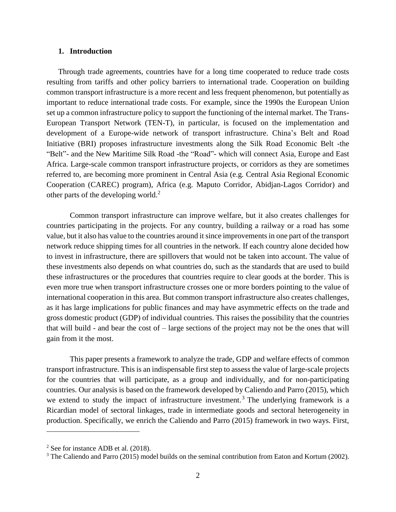### **1. Introduction**

Through trade agreements, countries have for a long time cooperated to reduce trade costs resulting from tariffs and other policy barriers to international trade. Cooperation on building common transport infrastructure is a more recent and less frequent phenomenon, but potentially as important to reduce international trade costs. For example, since the 1990s the European Union set up a common infrastructure policy to support the functioning of the internal market. The Trans-European Transport Network (TEN-T), in particular, is focused on the implementation and development of a Europe-wide network of transport infrastructure. China's Belt and Road Initiative (BRI) proposes infrastructure investments along the Silk Road Economic Belt -the "Belt"- and the New Maritime Silk Road -the "Road"- which will connect Asia, Europe and East Africa. Large-scale common transport infrastructure projects, or corridors as they are sometimes referred to, are becoming more prominent in Central Asia (e.g. Central Asia Regional Economic Cooperation (CAREC) program), Africa (e.g. Maputo Corridor, Abidjan-Lagos Corridor) and other parts of the developing world.<sup>2</sup>

Common transport infrastructure can improve welfare, but it also creates challenges for countries participating in the projects. For any country, building a railway or a road has some value, but it also has value to the countries around it since improvements in one part of the transport network reduce shipping times for all countries in the network. If each country alone decided how to invest in infrastructure, there are spillovers that would not be taken into account. The value of these investments also depends on what countries do, such as the standards that are used to build these infrastructures or the procedures that countries require to clear goods at the border. This is even more true when transport infrastructure crosses one or more borders pointing to the value of international cooperation in this area. But common transport infrastructure also creates challenges, as it has large implications for public finances and may have asymmetric effects on the trade and gross domestic product (GDP) of individual countries. This raises the possibility that the countries that will build - and bear the cost of – large sections of the project may not be the ones that will gain from it the most.

This paper presents a framework to analyze the trade, GDP and welfare effects of common transport infrastructure. This is an indispensable first step to assess the value of large-scale projects for the countries that will participate, as a group and individually, and for non-participating countries. Our analysis is based on the framework developed by Caliendo and Parro (2015), which we extend to study the impact of infrastructure investment.<sup>3</sup> The underlying framework is a Ricardian model of sectoral linkages, trade in intermediate goods and sectoral heterogeneity in production. Specifically, we enrich the Caliendo and Parro (2015) framework in two ways. First,

 $2$  See for instance ADB et al. (2018).

<sup>&</sup>lt;sup>3</sup> The Caliendo and Parro (2015) model builds on the seminal contribution from Eaton and Kortum (2002).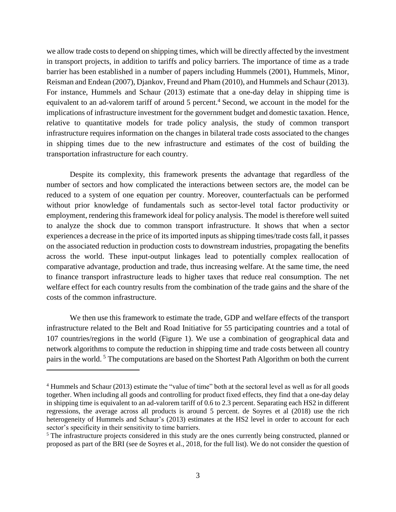we allow trade costs to depend on shipping times, which will be directly affected by the investment in transport projects, in addition to tariffs and policy barriers. The importance of time as a trade barrier has been established in a number of papers including Hummels (2001), Hummels, Minor, Reisman and Endean (2007), Djankov, Freund and Pham (2010), and Hummels and Schaur (2013). For instance, Hummels and Schaur (2013) estimate that a one-day delay in shipping time is equivalent to an ad-valorem tariff of around 5 percent.<sup>4</sup> Second, we account in the model for the implications of infrastructure investment for the government budget and domestic taxation. Hence, relative to quantitative models for trade policy analysis, the study of common transport infrastructure requires information on the changes in bilateral trade costs associated to the changes in shipping times due to the new infrastructure and estimates of the cost of building the transportation infrastructure for each country.

Despite its complexity, this framework presents the advantage that regardless of the number of sectors and how complicated the interactions between sectors are, the model can be reduced to a system of one equation per country. Moreover, counterfactuals can be performed without prior knowledge of fundamentals such as sector-level total factor productivity or employment, rendering this framework ideal for policy analysis. The model is therefore well suited to analyze the shock due to common transport infrastructure. It shows that when a sector experiences a decrease in the price of its imported inputs as shipping times/trade costs fall, it passes on the associated reduction in production costs to downstream industries, propagating the benefits across the world. These input-output linkages lead to potentially complex reallocation of comparative advantage, production and trade, thus increasing welfare. At the same time, the need to finance transport infrastructure leads to higher taxes that reduce real consumption. The net welfare effect for each country results from the combination of the trade gains and the share of the costs of the common infrastructure.

We then use this framework to estimate the trade, GDP and welfare effects of the transport infrastructure related to the Belt and Road Initiative for 55 participating countries and a total of 107 countries/regions in the world (Figure 1). We use a combination of geographical data and network algorithms to compute the reduction in shipping time and trade costs between all country pairs in the world. <sup>5</sup> The computations are based on the Shortest Path Algorithm on both the current

<sup>&</sup>lt;sup>4</sup> Hummels and Schaur (2013) estimate the "value of time" both at the sectoral level as well as for all goods together. When including all goods and controlling for product fixed effects, they find that a one-day delay in shipping time is equivalent to an ad-valorem tariff of 0.6 to 2.3 percent. Separating each HS2 in different regressions, the average across all products is around 5 percent. de Soyres et al (2018) use the rich heterogeneity of Hummels and Schaur's (2013) estimates at the HS2 level in order to account for each sector's specificity in their sensitivity to time barriers.

<sup>&</sup>lt;sup>5</sup> The infrastructure projects considered in this study are the ones currently being constructed, planned or proposed as part of the BRI (see de Soyres et al., 2018, for the full list). We do not consider the question of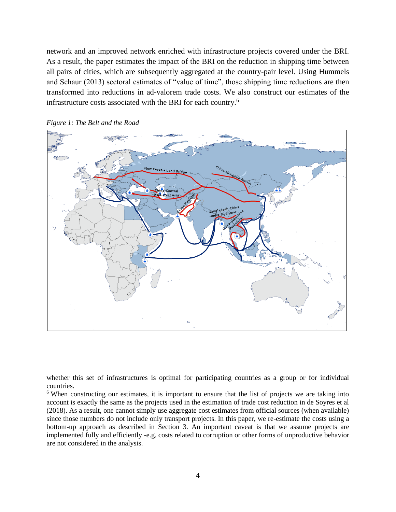network and an improved network enriched with infrastructure projects covered under the BRI. As a result, the paper estimates the impact of the BRI on the reduction in shipping time between all pairs of cities, which are subsequently aggregated at the country-pair level. Using Hummels and Schaur (2013) sectoral estimates of "value of time", those shipping time reductions are then transformed into reductions in ad-valorem trade costs. We also construct our estimates of the infrastructure costs associated with the BRI for each country. 6





whether this set of infrastructures is optimal for participating countries as a group or for individual countries.

<sup>&</sup>lt;sup>6</sup> When constructing our estimates, it is important to ensure that the list of projects we are taking into account is exactly the same as the projects used in the estimation of trade cost reduction in de Soyres et al (2018). As a result, one cannot simply use aggregate cost estimates from official sources (when available) since those numbers do not include only transport projects. In this paper, we re-estimate the costs using a bottom-up approach as described in Section 3. An important caveat is that we assume projects are implemented fully and efficiently -e.g. costs related to corruption or other forms of unproductive behavior are not considered in the analysis.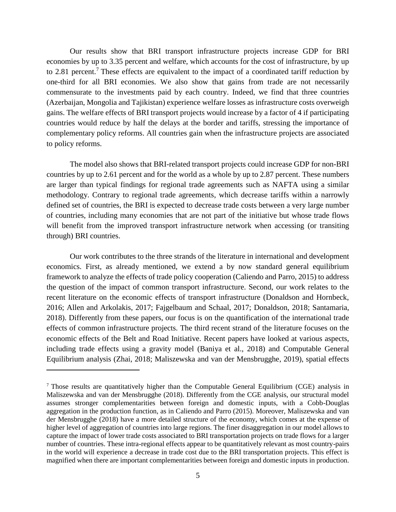Our results show that BRI transport infrastructure projects increase GDP for BRI economies by up to 3.35 percent and welfare, which accounts for the cost of infrastructure, by up to 2.81 percent.<sup>7</sup> These effects are equivalent to the impact of a coordinated tariff reduction by one-third for all BRI economies. We also show that gains from trade are not necessarily commensurate to the investments paid by each country. Indeed, we find that three countries (Azerbaijan, Mongolia and Tajikistan) experience welfare losses as infrastructure costs overweigh gains. The welfare effects of BRI transport projects would increase by a factor of 4 if participating countries would reduce by half the delays at the border and tariffs, stressing the importance of complementary policy reforms. All countries gain when the infrastructure projects are associated to policy reforms.

The model also shows that BRI-related transport projects could increase GDP for non-BRI countries by up to 2.61 percent and for the world as a whole by up to 2.87 percent. These numbers are larger than typical findings for regional trade agreements such as NAFTA using a similar methodology. Contrary to regional trade agreements, which decrease tariffs within a narrowly defined set of countries, the BRI is expected to decrease trade costs between a very large number of countries, including many economies that are not part of the initiative but whose trade flows will benefit from the improved transport infrastructure network when accessing (or transiting through) BRI countries.

Our work contributes to the three strands of the literature in international and development economics. First, as already mentioned, we extend a by now standard general equilibrium framework to analyze the effects of trade policy cooperation (Caliendo and Parro, 2015) to address the question of the impact of common transport infrastructure. Second, our work relates to the recent literature on the economic effects of transport infrastructure (Donaldson and Hornbeck, 2016; Allen and Arkolakis, 2017; Fajgelbaum and Schaal, 2017; Donaldson, 2018; Santamaria, 2018). Differently from these papers, our focus is on the quantification of the international trade effects of common infrastructure projects. The third recent strand of the literature focuses on the economic effects of the Belt and Road Initiative. Recent papers have looked at various aspects, including trade effects using a gravity model (Baniya et al., 2018) and Computable General Equilibrium analysis (Zhai, 2018; Maliszewska and van der Mensbrugghe, 2019), spatial effects

<sup>7</sup> Those results are quantitatively higher than the Computable General Equilibrium (CGE) analysis in Maliszewska and van der Mensbrugghe (2018). Differently from the CGE analysis, our structural model assumes stronger complementarities between foreign and domestic inputs, with a Cobb-Douglas aggregation in the production function, as in Caliendo and Parro (2015). Moreover, Maliszewska and van der Mensbrugghe (2018) have a more detailed structure of the economy, which comes at the expense of higher level of aggregation of countries into large regions. The finer disaggregation in our model allows to capture the impact of lower trade costs associated to BRI transportation projects on trade flows for a larger number of countries. These intra-regional effects appear to be quantitatively relevant as most country-pairs in the world will experience a decrease in trade cost due to the BRI transportation projects. This effect is magnified when there are important complementarities between foreign and domestic inputs in production.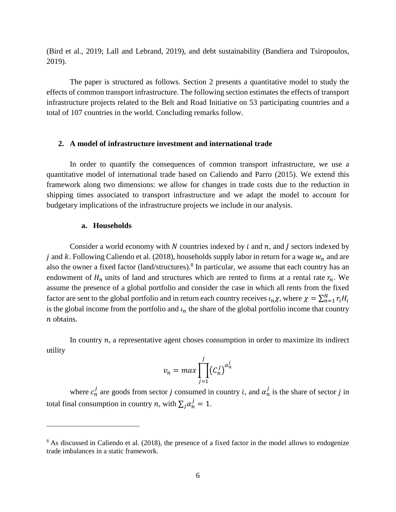(Bird et al., 2019; Lall and Lebrand, 2019), and debt sustainability (Bandiera and Tsiropoulos, 2019).

The paper is structured as follows. Section 2 presents a quantitative model to study the effects of common transport infrastructure. The following section estimates the effects of transport infrastructure projects related to the Belt and Road Initiative on 53 participating countries and a total of 107 countries in the world. Concluding remarks follow.

### **2. A model of infrastructure investment and international trade**

In order to quantify the consequences of common transport infrastructure, we use a quantitative model of international trade based on Caliendo and Parro (2015). We extend this framework along two dimensions: we allow for changes in trade costs due to the reduction in shipping times associated to transport infrastructure and we adapt the model to account for budgetary implications of the infrastructure projects we include in our analysis.

#### **a. Households**

 $\overline{a}$ 

Consider a world economy with  $N$  countries indexed by  $i$  and  $n$ , and  $j$  sectors indexed by j and k. Following Caliendo et al. (2018), households supply labor in return for a wage  $w_n$  and are also the owner a fixed factor (land/structures).<sup>8</sup> In particular, we assume that each country has an endowment of  $H_n$  units of land and structures which are rented to firms at a rental rate  $r_n$ . We assume the presence of a global portfolio and consider the case in which all rents from the fixed factor are sent to the global portfolio and in return each country receives  $\iota_n \chi$ , where  $\chi = \sum_{n=1}^N r_i H_i$ is the global income from the portfolio and  $t_n$  the share of the global portfolio income that country  $n$  obtains.

In country  $n$ , a representative agent choses consumption in order to maximize its indirect utility

$$
v_n = \max \prod_{j=1}^J (C_n^j)^{\alpha_n^j}
$$

where  $c_n^j$  are goods from sector *j* consumed in country *i*, and  $\alpha_n^j$  is the share of sector *j* in total final consumption in country *n*, with  $\sum_j \alpha_n^j = 1$ .

<sup>&</sup>lt;sup>8</sup> As discussed in Caliendo et al. (2018), the presence of a fixed factor in the model allows to endogenize trade imbalances in a static framework.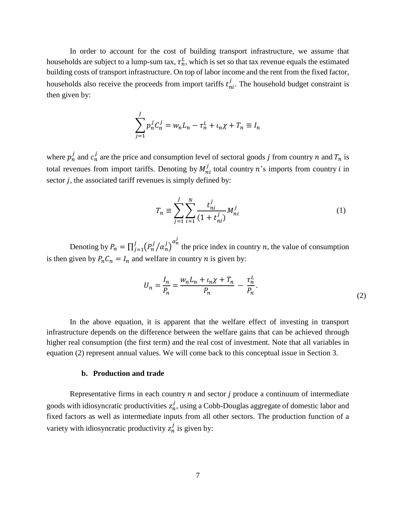In order to account for the cost of building transport infrastructure, we assume that households are subject to a lump-sum tax,  $\tau_n^L$ , which is set so that tax revenue equals the estimated building costs of transport infrastructure. On top of labor income and the rent from the fixed factor, households also receive the proceeds from import tariffs  $t_{ni}^j$ . The household budget constraint is then given by:

$$
\sum_{j=1}^{J} p_n^j C_n^j = w_n L_n - \tau_n^L + \iota_n \chi + T_n \equiv I_n
$$

where  $p_n^j$  and  $c_n^j$  are the price and consumption level of sectoral goods j from country n and  $T_n$  is total revenues from import tariffs. Denoting by  $M_{ni}^j$  total country n's imports from country i in sector  $j$ , the associated tariff revenues is simply defined by:

$$
T_n \equiv \sum_{j=1}^{J} \sum_{i=1}^{N} \frac{t_{ni}^j}{(1 + t_{ni}^j)} M_{ni}^j
$$
 (1)

Denoting by  $P_n = \prod_{j=1}^J (P_n^j / \alpha_n^j)$  $j=1$  $\alpha_n^j$ the price index in country  $n$ , the value of consumption is then given by  $P_n C_n = I_n$  and welfare in country *n* is given by:

$$
U_n = \frac{I_n}{P_n} = \frac{w_n L_n + \iota_n \chi + T_n}{P_n} - \frac{\tau_n^L}{P_n}.
$$
\n<sup>(2)</sup>

In the above equation, it is apparent that the welfare effect of investing in transport infrastructure depends on the difference between the welfare gains that can be achieved through higher real consumption (the first term) and the real cost of investment. Note that all variables in equation (2) represent annual values. We will come back to this conceptual issue in Section 3.

### **b. Production and trade**

Representative firms in each country  $n$  and sector  $j$  produce a continuum of intermediate goods with idiosyncratic productivities  $z_n^j$ , using a Cobb-Douglas aggregate of domestic labor and fixed factors as well as intermediate inputs from all other sectors. The production function of a variety with idiosyncratic productivity  $z_n^j$  is given by: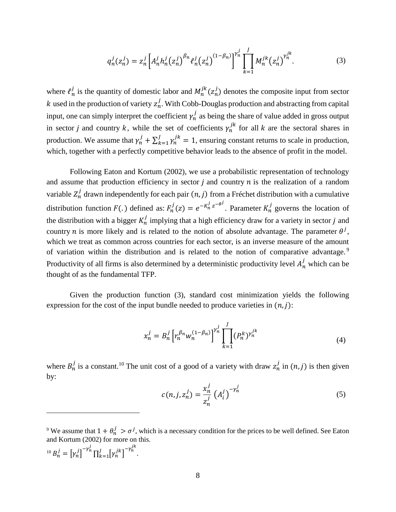$$
q_n^j(z_n^j) = z_n^j \left[ A_n^j h_n^j (z_n^j)^{\beta_n} \ell_n^j (z_n^j)^{(1-\beta_n)} \right]^{y_n^j} \prod_{k=1}^j M_n^{jk} (z_n^j)^{y_n^{jk}}.
$$
 (3)

where  $\ell_n^j$  is the quantity of domestic labor and  $M_n^{jk}(z_n^j)$  denotes the composite input from sector k used in the production of variety  $z_n^j$ . With Cobb-Douglas production and abstracting from capital input, one can simply interpret the coefficient  $\gamma_n^j$  as being the share of value added in gross output in sector *j* and country *k*, while the set of coefficients  $\gamma_n^{jk}$  for all *k* are the sectoral shares in production. We assume that  $\gamma_n^j + \sum_{k=1}^J \gamma_n^{jk} = 1$ , ensuring constant returns to scale in production, which, together with a perfectly competitive behavior leads to the absence of profit in the model.

Following Eaton and Kortum (2002), we use a probabilistic representation of technology and assume that production efficiency in sector  $j$  and country  $n$  is the realization of a random variable  $Z_n^j$  drawn independently for each pair  $(n,j)$  from a Fréchet distribution with a cumulative distribution function  $F(.)$  defined as:  $F_n^j(z) = e^{-K_n^j z^{-\theta j}}$ . Parameter  $K_n^j$  governs the location of the distribution with a bigger  $K_n^j$  implying that a high efficiency draw for a variety in sector j and country *n* is more likely and is related to the notion of absolute advantage. The parameter  $\theta^{j}$ , which we treat as common across countries for each sector, is an inverse measure of the amount of variation within the distribution and is related to the notion of comparative advantage.<sup>9</sup> Productivity of all firms is also determined by a deterministic productivity level  $A_n^j$  which can be thought of as the fundamental TFP.

Given the production function (3), standard cost minimization yields the following expression for the cost of the input bundle needed to produce varieties in  $(n, j)$ :

$$
x_n^j = B_n^j \left[ r_n^{\beta_n} w_n^{(1-\beta_n)} \right]^{y_n^j} \prod_{k=1}^j (P_n^k)^{y_n^{jk}} \tag{4}
$$

where  $B_n^j$  is a constant.<sup>10</sup> The unit cost of a good of a variety with draw  $z_n^j$  in  $(n, j)$  is then given by:

$$
c(n, j, z_n^j) = \frac{x_n^j}{z_n^j} (A_i^j)^{-\gamma_n^j}
$$
 (5)

 $^{10}B_n^j = [\gamma_n^j]^{-\gamma_n^j}$  $\prod_{k=1}^J [\gamma_n^{jk}]^{-\gamma_n^{jk}}$  $\left[\gamma_n^{j\kappa}\right]^{n}$ .

<sup>&</sup>lt;sup>9</sup> We assume that  $1 + \theta_n^j > \sigma^j$ , which is a necessary condition for the prices to be well defined. See Eaton and Kortum (2002) for more on this.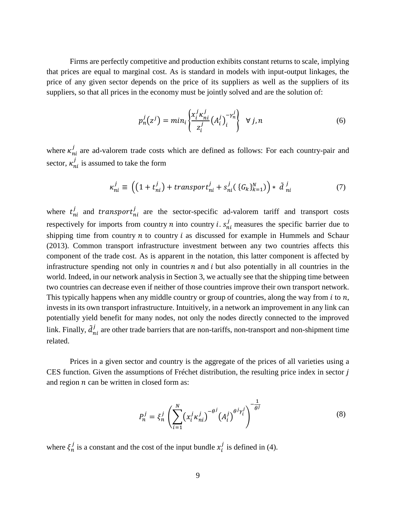Firms are perfectly competitive and production exhibits constant returns to scale, implying that prices are equal to marginal cost. As is standard in models with input-output linkages, the price of any given sector depends on the price of its suppliers as well as the suppliers of its suppliers, so that all prices in the economy must be jointly solved and are the solution of:

$$
p_n^j(z^j) = \min_i \left\{ \frac{x_i^j \kappa_{ni}^j}{z_i^j} \left( A_i^j \right)_i^{-\gamma_n^j} \right\} \ \ \forall \ j, n \tag{6}
$$

where  $\kappa_{ni}^{j}$  are ad-valorem trade costs which are defined as follows: For each country-pair and sector,  $\kappa_{ni}^j$  is assumed to take the form

$$
\kappa_{ni}^{j} \equiv \left( \left( 1 + t_{ni}^{j} \right) + transport_{ni}^{j} + s_{ni}^{j} (\{ G_{k} \}_{k=1}^{N} ) \right) * \tilde{d}_{ni}^{j}
$$
(7)

where  $t_{ni}^j$  and transport<sub>ni</sub> are the sector-specific ad-valorem tariff and transport costs respectively for imports from country *n* into country *i*.  $s_{ni}^{j}$  measures the specific barrier due to shipping time from country  $n$  to country  $i$  as discussed for example in Hummels and Schaur (2013). Common transport infrastructure investment between any two countries affects this component of the trade cost. As is apparent in the notation, this latter component is affected by infrastructure spending not only in countries  $n$  and  $i$  but also potentially in all countries in the world. Indeed, in our network analysis in Section 3, we actually see that the shipping time between two countries can decrease even if neither of those countries improve their own transport network. This typically happens when any middle country or group of countries, along the way from  $i$  to  $n$ , invests in its own transport infrastructure. Intuitively, in a network an improvement in any link can potentially yield benefit for many nodes, not only the nodes directly connected to the improved link. Finally,  $\tilde{d}^j_{ni}$  $\mu_{ni}^{j}$  are other trade barriers that are non-tariffs, non-transport and non-shipment time related.

Prices in a given sector and country is the aggregate of the prices of all varieties using a CES function. Given the assumptions of Fréchet distribution, the resulting price index in sector and region  $n$  can be written in closed form as:

$$
P_n^j = \xi_n^j \left( \sum_{i=1}^N \left( x_i^j \kappa_{ni}^j \right)^{-\theta^j} \left( A_i^j \right)^{\theta^j \gamma_i^j} \right)^{-\frac{1}{\theta^j}} \tag{8}
$$

where  $\xi_n^j$  is a constant and the cost of the input bundle  $x_i^j$  is defined in (4).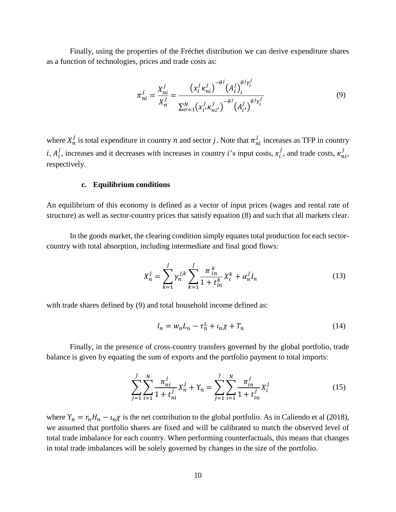Finally, using the properties of the Fréchet distribution we can derive expenditure shares as a function of technologies, prices and trade costs as:

$$
\pi_{ni}^j = \frac{X_{ni}^j}{X_n^j} = \frac{\left(x_i^j \kappa_{ni}^j\right)^{-\theta^j} \left(A_i^j\right)_i^{\theta^j \gamma_i^j}}{\sum_{i'=1}^N \left(x_{i'}^j \kappa_{ni'}^j\right)^{-\theta^j} \left(A_{i'}^j\right)^{\theta^j \gamma_i^j}}
$$
(9)

where  $X_n^j$  is total expenditure in country n and sector j. Note that  $\pi_{ni}^j$  increases as TFP in country *i*,  $A_i^j$ , increases and it decreases with increases in country *i*'s input costs,  $x_i^j$ , and trade costs,  $\kappa_{ni}^j$ , respectively.

#### **c. Equilibrium conditions**

An equilibrium of this economy is defined as a vector of input prices (wages and rental rate of structure) as well as sector-country prices that satisfy equation (8) and such that all markets clear.

In the goods market, the clearing condition simply equates total production for each sectorcountry with total absorption, including intermediate and final good flows:

$$
X_n^j = \sum_{k=1}^J \gamma_n^{j,k} \sum_{k=1}^J \frac{\pi_{in}^k}{1 + t_{in}^k} X_i^k + \alpha_n^j I_n
$$
 (13)

with trade shares defined by (9) and total household income defined as:

$$
I_n = w_n L_n - \tau_n^L + \iota_n \chi + T_n \tag{14}
$$

Finally, in the presence of cross-country transfers governed by the global portfolio, trade balance is given by equating the sum of exports and the portfolio payment to total imports:

$$
\sum_{j=1}^{J} \sum_{i=1}^{N} \frac{\pi_{ni}^{j}}{1 + t_{ni}^{j}} X_{n}^{j} + Y_{n} = \sum_{j=1}^{J} \sum_{i=1}^{N} \frac{\pi_{in}^{j}}{1 + t_{in}^{j}} X_{i}^{j}
$$
(15)

where  $Y_n = r_n H_n - \iota_n \chi$  is the net contribution to the global portfolio. As in Caliendo et al (2018), we assumed that portfolio shares are fixed and will be calibrated to match the observed level of total trade imbalance for each country. When performing counterfactuals, this means that changes in total trade imbalances will be solely governed by changes in the size of the portfolio.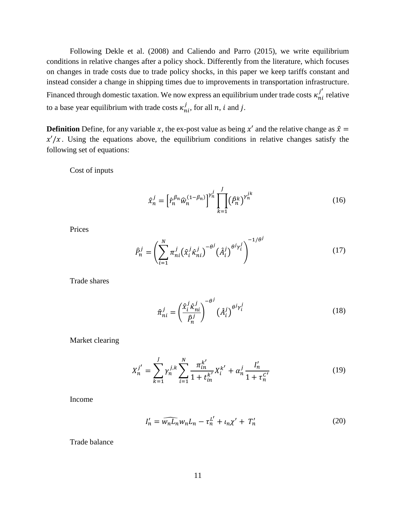Following Dekle et al. (2008) and Caliendo and Parro (2015), we write equilibrium conditions in relative changes after a policy shock. Differently from the literature, which focuses on changes in trade costs due to trade policy shocks, in this paper we keep tariffs constant and instead consider a change in shipping times due to improvements in transportation infrastructure. Financed through domestic taxation. We now express an equilibrium under trade costs  $\kappa_{ni}^{j'}$  relative to a base year equilibrium with trade costs  $\kappa_{ni}^j$ , for all  $n$ ,  $i$  and  $j$ .

**Definition** Define, for any variable x, the ex-post value as being  $x'$  and the relative change as  $\hat{x}$  =  $x'/x$ . Using the equations above, the equilibrium conditions in relative changes satisfy the following set of equations:

Cost of inputs

$$
\hat{x}_n^j = \left[\hat{r}_n^{\beta_n} \hat{w}_n^{(1-\beta_n)}\right]^{y_n^j} \prod_{k=1}^J \left(\hat{P}_n^k\right)^{y_n^{jk}}
$$
(16)

Prices

$$
\hat{P}_n^j = \left( \sum_{i=1}^N \pi_{ni}^j (\hat{x}_i^j \hat{\kappa}_{ni}^j)^{-\theta^j} (\hat{A}_i^j)^{\theta^j \gamma_i^j} \right)^{-1/\theta^j}
$$
(17)

Trade shares

$$
\hat{\pi}_{ni}^j = \left(\frac{\hat{x}_i^j \hat{\kappa}_{ni}^j}{\hat{p}_i^j}\right)^{-\theta^j} \left(\hat{A}_i^j\right)^{\theta^j \gamma_i^j} \tag{18}
$$

Market clearing

$$
X_n^{j'} = \sum_{k=1}^J \gamma_n^{j,k} \sum_{i=1}^N \frac{\pi_{in}^{k'}}{1 + t_{in}^{k'}} X_i^{k'} + \alpha_n^j \frac{I_n'}{1 + \tau_n^{C'}}
$$
(19)

Income

$$
I'_n = \widehat{w_n L_n} w_n L_n - \tau_n^{L'} + \iota_n \chi' + T'_n \tag{20}
$$

Trade balance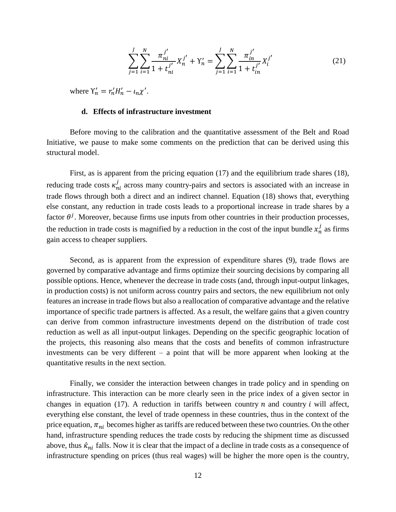$$
\sum_{j=1}^{J} \sum_{i=1}^{N} \frac{\pi_{ni}^{j'}}{1 + t_{ni}^{j'}} X_n^{j'} + Y_n' = \sum_{j=1}^{J} \sum_{i=1}^{N} \frac{\pi_{in}^{j'}}{1 + t_{in}^{j'}} X_i^{j'}
$$
(21)

where  $Y'_n = r'_n H'_n - \iota_n \chi'$ .

#### **d. Effects of infrastructure investment**

Before moving to the calibration and the quantitative assessment of the Belt and Road Initiative, we pause to make some comments on the prediction that can be derived using this structural model.

First, as is apparent from the pricing equation (17) and the equilibrium trade shares (18), reducing trade costs  $\kappa_{ni}^{j}$  across many country-pairs and sectors is associated with an increase in trade flows through both a direct and an indirect channel. Equation (18) shows that, everything else constant, any reduction in trade costs leads to a proportional increase in trade shares by a factor  $\theta^j$ . Moreover, because firms use inputs from other countries in their production processes, the reduction in trade costs is magnified by a reduction in the cost of the input bundle  $x_n^j$  as firms gain access to cheaper suppliers.

Second, as is apparent from the expression of expenditure shares (9), trade flows are governed by comparative advantage and firms optimize their sourcing decisions by comparing all possible options. Hence, whenever the decrease in trade costs (and, through input-output linkages, in production costs) is not uniform across country pairs and sectors, the new equilibrium not only features an increase in trade flows but also a reallocation of comparative advantage and the relative importance of specific trade partners is affected. As a result, the welfare gains that a given country can derive from common infrastructure investments depend on the distribution of trade cost reduction as well as all input-output linkages. Depending on the specific geographic location of the projects, this reasoning also means that the costs and benefits of common infrastructure investments can be very different – a point that will be more apparent when looking at the quantitative results in the next section.

Finally, we consider the interaction between changes in trade policy and in spending on infrastructure. This interaction can be more clearly seen in the price index of a given sector in changes in equation (17). A reduction in tariffs between country  $n$  and country  $i$  will affect, everything else constant, the level of trade openness in these countries, thus in the context of the price equation,  $\pi_{ni}$  becomes higher as tariffs are reduced between these two countries. On the other hand, infrastructure spending reduces the trade costs by reducing the shipment time as discussed above, thus  $\hat{\kappa}_{ni}$  falls. Now it is clear that the impact of a decline in trade costs as a consequence of infrastructure spending on prices (thus real wages) will be higher the more open is the country,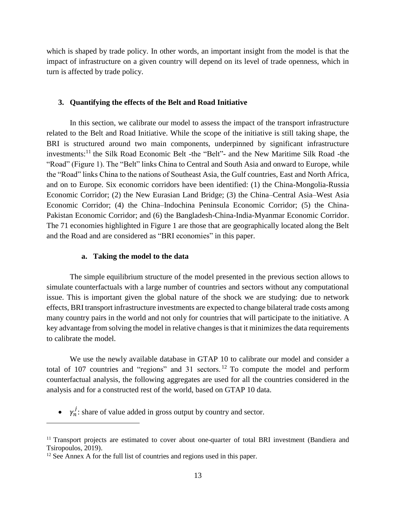which is shaped by trade policy. In other words, an important insight from the model is that the impact of infrastructure on a given country will depend on its level of trade openness, which in turn is affected by trade policy.

#### **3. Quantifying the effects of the Belt and Road Initiative**

In this section, we calibrate our model to assess the impact of the transport infrastructure related to the Belt and Road Initiative. While the scope of the initiative is still taking shape, the BRI is structured around two main components, underpinned by significant infrastructure investments:<sup>11</sup> the Silk Road Economic Belt -the "Belt"- and the New Maritime Silk Road -the "Road" (Figure 1). The "Belt" links China to Central and South Asia and onward to Europe, while the "Road" links China to the nations of Southeast Asia, the Gulf countries, East and North Africa, and on to Europe. Six economic corridors have been identified: (1) the China-Mongolia-Russia Economic Corridor; (2) the New Eurasian Land Bridge; (3) the China–Central Asia–West Asia Economic Corridor; (4) the China–Indochina Peninsula Economic Corridor; (5) the China-Pakistan Economic Corridor; and (6) the Bangladesh-China-India-Myanmar Economic Corridor. The 71 economies highlighted in Figure 1 are those that are geographically located along the Belt and the Road and are considered as "BRI economies" in this paper.

#### **a. Taking the model to the data**

The simple equilibrium structure of the model presented in the previous section allows to simulate counterfactuals with a large number of countries and sectors without any computational issue. This is important given the global nature of the shock we are studying: due to network effects, BRI transport infrastructure investments are expected to change bilateral trade costs among many country pairs in the world and not only for countries that will participate to the initiative. A key advantage from solving the model in relative changes is that it minimizes the data requirements to calibrate the model.

We use the newly available database in GTAP 10 to calibrate our model and consider a total of 107 countries and "regions" and 31 sectors. <sup>12</sup> To compute the model and perform counterfactual analysis, the following aggregates are used for all the countries considered in the analysis and for a constructed rest of the world, based on GTAP 10 data.

•  $\gamma_n^j$ : share of value added in gross output by country and sector.

<sup>&</sup>lt;sup>11</sup> Transport projects are estimated to cover about one-quarter of total BRI investment (Bandiera and Tsiropoulos, 2019).

<sup>&</sup>lt;sup>12</sup> See Annex A for the full list of countries and regions used in this paper.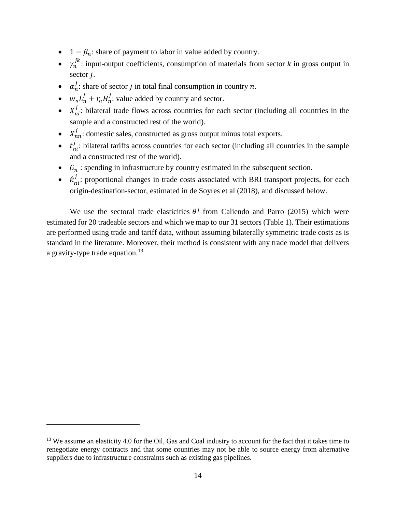- $1 \beta_n$ : share of payment to labor in value added by country.
- $\gamma_n^{jk}$ : input-output coefficients, consumption of materials from sector k in gross output in sector  $j$ .
- $\alpha_n^j$ : share of sector *j* in total final consumption in country *n*.
- $w_n L_n^j + r_n H_n^j$ : value added by country and sector.
- $\bullet$   $X_{ni}^j$ : bilateral trade flows across countries for each sector (including all countries in the sample and a constructed rest of the world).
- $\bullet$   $X_{nn}^j$ : domestic sales, constructed as gross output minus total exports.
- $\bullet$   $t_{ni}^j$ : bilateral tariffs across countries for each sector (including all countries in the sample and a constructed rest of the world).
- $G_n$ : spending in infrastructure by country estimated in the subsequent section.
- $\hat{\kappa}_{ni}^{j}$ : proportional changes in trade costs associated with BRI transport projects, for each origin-destination-sector, estimated in de Soyres et al (2018), and discussed below.

We use the sectoral trade elasticities  $\theta^j$  from Caliendo and Parro (2015) which were estimated for 20 tradeable sectors and which we map to our 31 sectors [\(Table 1\)](#page-14-0). Their estimations are performed using trade and tariff data, without assuming bilaterally symmetric trade costs as is standard in the literature. Moreover, their method is consistent with any trade model that delivers a gravity-type trade equation.<sup>13</sup>

<sup>&</sup>lt;sup>13</sup> We assume an elasticity 4.0 for the Oil, Gas and Coal industry to account for the fact that it takes time to renegotiate energy contracts and that some countries may not be able to source energy from alternative suppliers due to infrastructure constraints such as existing gas pipelines.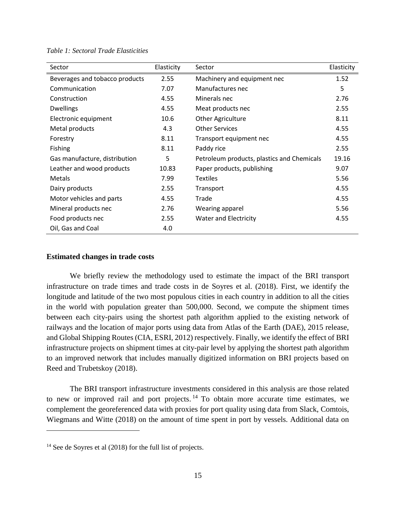| Sector                         | Elasticity | Sector                                     | Elasticity |
|--------------------------------|------------|--------------------------------------------|------------|
| Beverages and tobacco products | 2.55       | Machinery and equipment nec                | 1.52       |
| Communication                  | 7.07       | Manufactures nec                           | 5          |
| Construction                   | 4.55       | Minerals nec                               | 2.76       |
| <b>Dwellings</b>               | 4.55       | Meat products nec                          | 2.55       |
| Electronic equipment           | 10.6       | Other Agriculture                          | 8.11       |
| Metal products                 | 4.3        | <b>Other Services</b>                      | 4.55       |
| Forestry                       | 8.11       | Transport equipment nec                    | 4.55       |
| <b>Fishing</b>                 | 8.11       | Paddy rice                                 | 2.55       |
| Gas manufacture, distribution  | 5          | Petroleum products, plastics and Chemicals | 19.16      |
| Leather and wood products      | 10.83      | Paper products, publishing                 | 9.07       |
| Metals                         | 7.99       | <b>Textiles</b>                            | 5.56       |
| Dairy products                 | 2.55       | Transport                                  | 4.55       |
| Motor vehicles and parts       | 4.55       | Trade                                      | 4.55       |
| Mineral products nec           | 2.76       | Wearing apparel                            | 5.56       |
| Food products nec              | 2.55       | <b>Water and Electricity</b>               | 4.55       |
| Oil, Gas and Coal              | 4.0        |                                            |            |

<span id="page-14-0"></span>*Table 1: Sectoral Trade Elasticities*

#### **Estimated changes in trade costs**

We briefly review the methodology used to estimate the impact of the BRI transport infrastructure on trade times and trade costs in de Soyres et al. (2018). First, we identify the longitude and latitude of the two most populous cities in each country in addition to all the cities in the world with population greater than 500,000. Second, we compute the shipment times between each city-pairs using the shortest path algorithm applied to the existing network of railways and the location of major ports using data from Atlas of the Earth (DAE), 2015 release, and Global Shipping Routes (CIA, ESRI, 2012) respectively. Finally, we identify the effect of BRI infrastructure projects on shipment times at city-pair level by applying the shortest path algorithm to an improved network that includes manually digitized information on BRI projects based on Reed and Trubetskoy (2018).

The BRI transport infrastructure investments considered in this analysis are those related to new or improved rail and port projects.<sup>14</sup> To obtain more accurate time estimates, we complement the georeferenced data with proxies for port quality using data from Slack, Comtois, Wiegmans and Witte (2018) on the amount of time spent in port by vessels. Additional data on

<sup>&</sup>lt;sup>14</sup> See de Soyres et al (2018) for the full list of projects.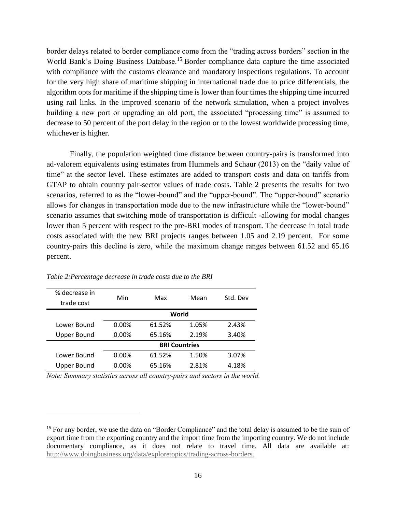border delays related to border compliance come from the "trading across borders" section in the World Bank's Doing Business Database.<sup>15</sup> Border compliance data capture the time associated with compliance with the customs clearance and mandatory inspections regulations. To account for the very high share of maritime shipping in international trade due to price differentials, the algorithm opts for maritime if the shipping time is lower than four times the shipping time incurred using rail links. In the improved scenario of the network simulation, when a project involves building a new port or upgrading an old port, the associated "processing time" is assumed to decrease to 50 percent of the port delay in the region or to the lowest worldwide processing time, whichever is higher.

Finally, the population weighted time distance between country-pairs is transformed into ad-valorem equivalents using estimates from Hummels and Schaur (2013) on the "daily value of time" at the sector level. These estimates are added to transport costs and data on tariffs from GTAP to obtain country pair-sector values of trade costs. Table 2 presents the results for two scenarios, referred to as the "lower-bound" and the "upper-bound". The "upper-bound" scenario allows for changes in transportation mode due to the new infrastructure while the "lower-bound" scenario assumes that switching mode of transportation is difficult -allowing for modal changes lower than 5 percent with respect to the pre-BRI modes of transport. The decrease in total trade costs associated with the new BRI projects ranges between 1.05 and 2.19 percent. For some country-pairs this decline is zero, while the maximum change ranges between 61.52 and 65.16 percent.

| % decrease in      | Min      | Max                  | Mean  | Std. Dev |
|--------------------|----------|----------------------|-------|----------|
| trade cost         |          |                      |       |          |
|                    |          | World                |       |          |
| Lower Bound        | $0.00\%$ | 61.52%               | 1.05% | 2.43%    |
| <b>Upper Bound</b> | $0.00\%$ | 65.16%               | 2.19% | 3.40%    |
|                    |          | <b>BRI Countries</b> |       |          |
| Lower Bound        | $0.00\%$ | 61.52%               | 1.50% | 3.07%    |
| Upper Bound        | $0.00\%$ | 65.16%               | 2.81% | 4.18%    |

*Table 2:Percentage decrease in trade costs due to the BRI*

 $\overline{a}$ 

*Note: Summary statistics across all country‐pairs and sectors in the world.*

<sup>&</sup>lt;sup>15</sup> For any border, we use the data on "Border Compliance" and the total delay is assumed to be the sum of export time from the exporting country and the import time from the importing country. We do not include documentary compliance, as it does not relate to travel time. All data are available at: [http://www.doingbusiness.org/data/exploretopics/trading-across-borders.](http://www.doingbusiness.org/data/exploretopics/trading-across-borders)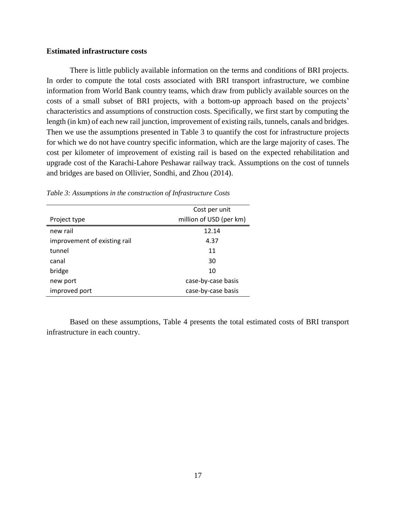#### **Estimated infrastructure costs**

There is little publicly available information on the terms and conditions of BRI projects. In order to compute the total costs associated with BRI transport infrastructure, we combine information from World Bank country teams, which draw from publicly available sources on the costs of a small subset of BRI projects, with a bottom-up approach based on the projects' characteristics and assumptions of construction costs. Specifically, we first start by computing the length (in km) of each new rail junction, improvement of existing rails, tunnels, canals and bridges. Then we use the assumptions presented in Table 3 to quantify the cost for infrastructure projects for which we do not have country specific information, which are the large majority of cases. The cost per kilometer of improvement of existing rail is based on the expected rehabilitation and upgrade cost of the Karachi-Lahore Peshawar railway track. Assumptions on the cost of tunnels and bridges are based on Ollivier, Sondhi, and Zhou (2014).

|                              | Cost per unit           |  |  |  |
|------------------------------|-------------------------|--|--|--|
| Project type                 | million of USD (per km) |  |  |  |
| new rail                     | 12.14                   |  |  |  |
| improvement of existing rail | 4.37                    |  |  |  |
| tunnel                       | 11                      |  |  |  |
| canal                        | 30                      |  |  |  |
| bridge                       | 10                      |  |  |  |
| new port                     | case-by-case basis      |  |  |  |
| improved port                | case-by-case basis      |  |  |  |

*Table 3: Assumptions in the construction of Infrastructure Costs*

Based on these assumptions, [Table 4](#page-17-0) presents the total estimated costs of BRI transport infrastructure in each country.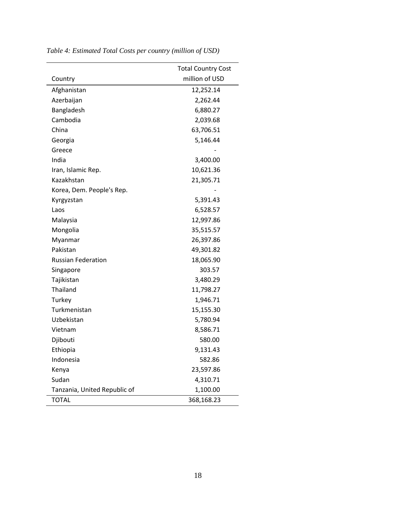|                              | <b>Total Country Cost</b> |
|------------------------------|---------------------------|
| Country                      | million of USD            |
| Afghanistan                  | 12,252.14                 |
| Azerbaijan                   | 2,262.44                  |
| Bangladesh                   | 6,880.27                  |
| Cambodia                     | 2,039.68                  |
| China                        | 63,706.51                 |
| Georgia                      | 5,146.44                  |
| Greece                       |                           |
| India                        | 3,400.00                  |
| Iran, Islamic Rep.           | 10,621.36                 |
| Kazakhstan                   | 21,305.71                 |
| Korea, Dem. People's Rep.    |                           |
| Kyrgyzstan                   | 5,391.43                  |
| Laos                         | 6,528.57                  |
| Malaysia                     | 12,997.86                 |
| Mongolia                     | 35,515.57                 |
| Myanmar                      | 26,397.86                 |
| Pakistan                     | 49,301.82                 |
| <b>Russian Federation</b>    | 18,065.90                 |
| Singapore                    | 303.57                    |
| Tajikistan                   | 3,480.29                  |
| Thailand                     | 11,798.27                 |
| Turkey                       | 1,946.71                  |
| Turkmenistan                 | 15,155.30                 |
| Uzbekistan                   | 5,780.94                  |
| Vietnam                      | 8,586.71                  |
| Djibouti                     | 580.00                    |
| Ethiopia                     | 9,131.43                  |
| Indonesia                    | 582.86                    |
| Kenya                        | 23,597.86                 |
| Sudan                        | 4,310.71                  |
| Tanzania, United Republic of | 1,100.00                  |
| <b>TOTAL</b>                 | 368,168.23                |

<span id="page-17-0"></span>*Table 4: Estimated Total Costs per country (million of USD)*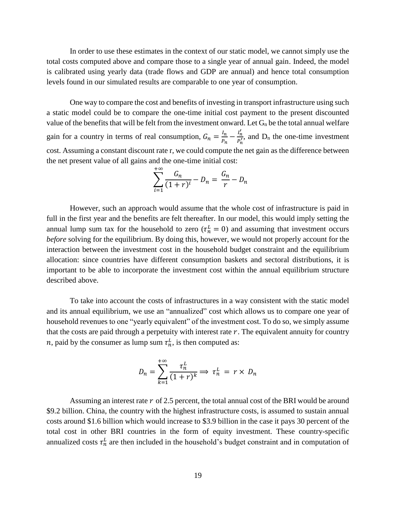In order to use these estimates in the context of our static model, we cannot simply use the total costs computed above and compare those to a single year of annual gain. Indeed, the model is calibrated using yearly data (trade flows and GDP are annual) and hence total consumption levels found in our simulated results are comparable to one year of consumption.

One way to compare the cost and benefits of investing in transport infrastructure using such a static model could be to compare the one-time initial cost payment to the present discounted value of the benefits that will be felt from the investment onward. Let  $G_n$  be the total annual welfare gain for a country in terms of real consumption,  $G_n = \frac{I_n}{R}$  $\frac{I_n}{P_n} - \frac{I'_n}{P'_n}$  $\frac{n}{P_n'}$ , and  $D_n$  the one-time investment cost. Assuming a constant discount rate r, we could compute the net gain as the difference between the net present value of all gains and the one-time initial cost:

$$
\sum_{i=1}^{+\infty} \frac{G_n}{(1+r)^i} - D_n = \frac{G_n}{r} - D_n
$$

However, such an approach would assume that the whole cost of infrastructure is paid in full in the first year and the benefits are felt thereafter. In our model, this would imply setting the annual lump sum tax for the household to zero ( $\tau_n^L = 0$ ) and assuming that investment occurs *before* solving for the equilibrium. By doing this, however, we would not properly account for the interaction between the investment cost in the household budget constraint and the equilibrium allocation: since countries have different consumption baskets and sectoral distributions, it is important to be able to incorporate the investment cost within the annual equilibrium structure described above.

To take into account the costs of infrastructures in a way consistent with the static model and its annual equilibrium, we use an "annualized" cost which allows us to compare one year of household revenues to one "yearly equivalent" of the investment cost. To do so, we simply assume that the costs are paid through a perpetuity with interest rate  $r$ . The equivalent annuity for country *n*, paid by the consumer as lump sum  $\tau_n^L$ , is then computed as:

$$
D_n = \sum_{k=1}^{+\infty} \frac{\tau_n^L}{(1+r)^k} \Rightarrow \tau_n^L = r \times D_n
$$

Assuming an interest rate  $r$  of 2.5 percent, the total annual cost of the BRI would be around \$9.2 billion. China, the country with the highest infrastructure costs, is assumed to sustain annual costs around \$1.6 billion which would increase to \$3.9 billion in the case it pays 30 percent of the total cost in other BRI countries in the form of equity investment. These country-specific annualized costs  $\tau_n^L$  are then included in the household's budget constraint and in computation of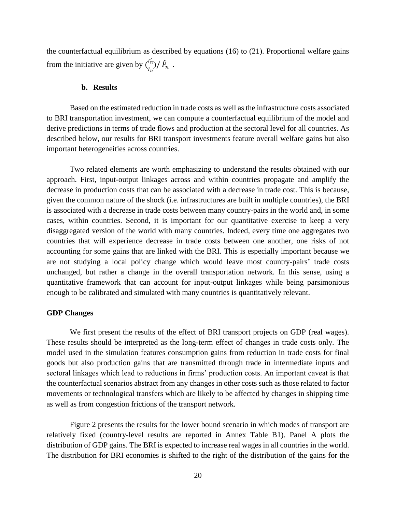the counterfactual equilibrium as described by equations (16) to (21). Proportional welfare gains from the initiative are given by  $\left(\frac{l_n'}{l_n}\right)$  $\frac{I_n}{I_n}$ )/ $\hat{P}_n$ .

#### **b. Results**

Based on the estimated reduction in trade costs as well as the infrastructure costs associated to BRI transportation investment, we can compute a counterfactual equilibrium of the model and derive predictions in terms of trade flows and production at the sectoral level for all countries. As described below, our results for BRI transport investments feature overall welfare gains but also important heterogeneities across countries.

Two related elements are worth emphasizing to understand the results obtained with our approach. First, input-output linkages across and within countries propagate and amplify the decrease in production costs that can be associated with a decrease in trade cost. This is because, given the common nature of the shock (i.e. infrastructures are built in multiple countries), the BRI is associated with a decrease in trade costs between many country-pairs in the world and, in some cases, within countries. Second, it is important for our quantitative exercise to keep a very disaggregated version of the world with many countries. Indeed, every time one aggregates two countries that will experience decrease in trade costs between one another, one risks of not accounting for some gains that are linked with the BRI. This is especially important because we are not studying a local policy change which would leave most country-pairs' trade costs unchanged, but rather a change in the overall transportation network. In this sense, using a quantitative framework that can account for input-output linkages while being parsimonious enough to be calibrated and simulated with many countries is quantitatively relevant.

### **GDP Changes**

We first present the results of the effect of BRI transport projects on GDP (real wages). These results should be interpreted as the long-term effect of changes in trade costs only. The model used in the simulation features consumption gains from reduction in trade costs for final goods but also production gains that are transmitted through trade in intermediate inputs and sectoral linkages which lead to reductions in firms' production costs. An important caveat is that the counterfactual scenarios abstract from any changes in other costs such as those related to factor movements or technological transfers which are likely to be affected by changes in shipping time as well as from congestion frictions of the transport network.

Figure 2 presents the results for the lower bound scenario in which modes of transport are relatively fixed (country-level results are reported in Annex Table B1). Panel A plots the distribution of GDP gains. The BRI is expected to increase real wages in all countries in the world. The distribution for BRI economies is shifted to the right of the distribution of the gains for the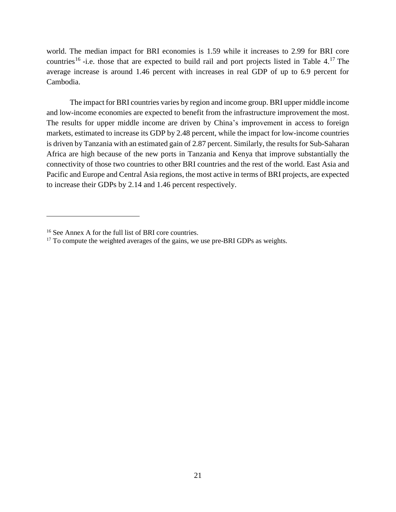world. The median impact for BRI economies is 1.59 while it increases to 2.99 for BRI core countries<sup>16</sup>-i.e. those that are expected to build rail and port projects listed in Table  $4.^{17}$  The average increase is around 1.46 percent with increases in real GDP of up to 6.9 percent for Cambodia.

The impact for BRI countries varies by region and income group. BRI upper middle income and low-income economies are expected to benefit from the infrastructure improvement the most. The results for upper middle income are driven by China's improvement in access to foreign markets, estimated to increase its GDP by 2.48 percent, while the impact for low-income countries is driven by Tanzania with an estimated gain of 2.87 percent. Similarly, the results for Sub-Saharan Africa are high because of the new ports in Tanzania and Kenya that improve substantially the connectivity of those two countries to other BRI countries and the rest of the world. East Asia and Pacific and Europe and Central Asia regions, the most active in terms of BRI projects, are expected to increase their GDPs by 2.14 and 1.46 percent respectively.

<sup>16</sup> See Annex A for the full list of BRI core countries.

<sup>&</sup>lt;sup>17</sup> To compute the weighted averages of the gains, we use pre-BRI GDPs as weights.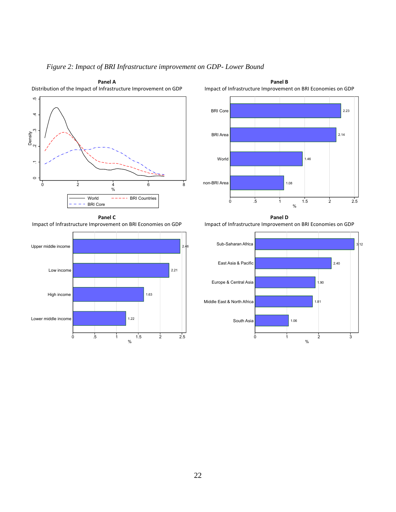

*Figure 2: Impact of BRI Infrastructure improvement on GDP- Lower Bound*

**Panel C** Impact of Infrastructure Improvement on BRI Economies on GDP





**Panel B** Impact of Infrastructure Improvement on BRI Economies on GDP

**Panel D** Impact of Infrastructure Improvement on BRI Economies on GDP

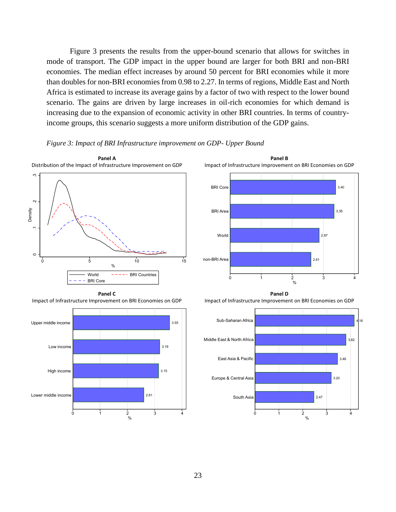Figure 3 presents the results from the upper-bound scenario that allows for switches in mode of transport. The GDP impact in the upper bound are larger for both BRI and non-BRI economies. The median effect increases by around 50 percent for BRI economies while it more than doubles for non-BRI economies from 0.98 to 2.27. In terms of regions, Middle East and North Africa is estimated to increase its average gains by a factor of two with respect to the lower bound scenario. The gains are driven by large increases in oil-rich economies for which demand is increasing due to the expansion of economic activity in other BRI countries. In terms of countryincome groups, this scenario suggests a more uniform distribution of the GDP gains.



*Figure 3: Impact of BRI Infrastructure improvement on GDP- Upper Bound*



**Panel B**

Impact of Infrastructure Improvement on BRI Economies on GDP  $3.19$ 3.55 Low income Upper middle income

Lower middle income

High income

 $2.61$ 

 $\overline{\mathbf{3}}$ 

%

 $\overline{2}$ 

 $3.15$ 

**Panel C**

**Panel D**

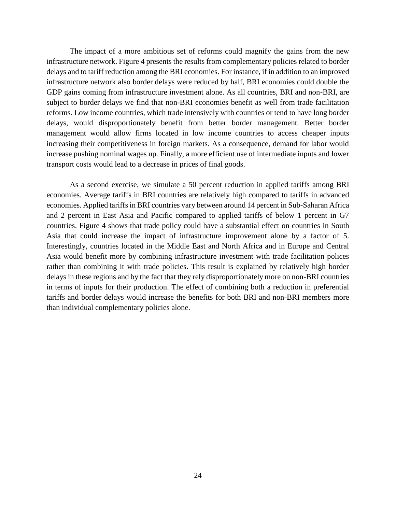The impact of a more ambitious set of reforms could magnify the gains from the new infrastructure network. Figure 4 presents the results from complementary policies related to border delays and to tariff reduction among the BRI economies. For instance, if in addition to an improved infrastructure network also border delays were reduced by half, BRI economies could double the GDP gains coming from infrastructure investment alone. As all countries, BRI and non-BRI, are subject to border delays we find that non-BRI economies benefit as well from trade facilitation reforms. Low income countries, which trade intensively with countries or tend to have long border delays, would disproportionately benefit from better border management. Better border management would allow firms located in low income countries to access cheaper inputs increasing their competitiveness in foreign markets. As a consequence, demand for labor would increase pushing nominal wages up. Finally, a more efficient use of intermediate inputs and lower transport costs would lead to a decrease in prices of final goods.

As a second exercise, we simulate a 50 percent reduction in applied tariffs among BRI economies. Average tariffs in BRI countries are relatively high compared to tariffs in advanced economies. Applied tariffs in BRI countries vary between around 14 percent in Sub-Saharan Africa and 2 percent in East Asia and Pacific compared to applied tariffs of below 1 percent in G7 countries. Figure 4 shows that trade policy could have a substantial effect on countries in South Asia that could increase the impact of infrastructure improvement alone by a factor of 5. Interestingly, countries located in the Middle East and North Africa and in Europe and Central Asia would benefit more by combining infrastructure investment with trade facilitation polices rather than combining it with trade policies. This result is explained by relatively high border delays in these regions and by the fact that they rely disproportionately more on non-BRI countries in terms of inputs for their production. The effect of combining both a reduction in preferential tariffs and border delays would increase the benefits for both BRI and non-BRI members more than individual complementary policies alone.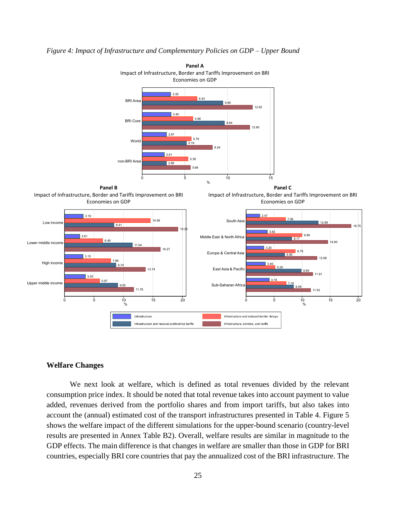

#### *Figure 4: Impact of Infrastructure and Complementary Policies on GDP – Upper Bound*

### **Welfare Changes**

We next look at welfare, which is defined as total revenues divided by the relevant consumption price index. It should be noted that total revenue takes into account payment to value added, revenues derived from the portfolio shares and from import tariffs, but also takes into account the (annual) estimated cost of the transport infrastructures presented in [Table 4.](#page-17-0) Figure 5 shows the welfare impact of the different simulations for the upper-bound scenario (country-level results are presented in Annex Table B2). Overall, welfare results are similar in magnitude to the GDP effects. The main difference is that changes in welfare are smaller than those in GDP for BRI countries, especially BRI core countries that pay the annualized cost of the BRI infrastructure. The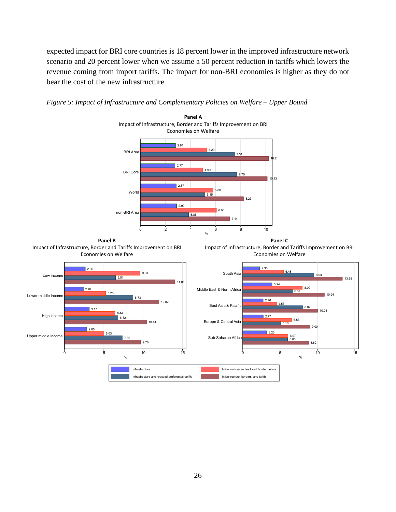expected impact for BRI core countries is 18 percent lower in the improved infrastructure network scenario and 20 percent lower when we assume a 50 percent reduction in tariffs which lowers the revenue coming from import tariffs. The impact for non-BRI economies is higher as they do not bear the cost of the new infrastructure.



*Figure 5: Impact of Infrastructure and Complementary Policies on Welfare – Upper Bound*



**Panel C** Impact of Infrastructure, Border and Tariffs Improvement on BRI Economies on Welfare

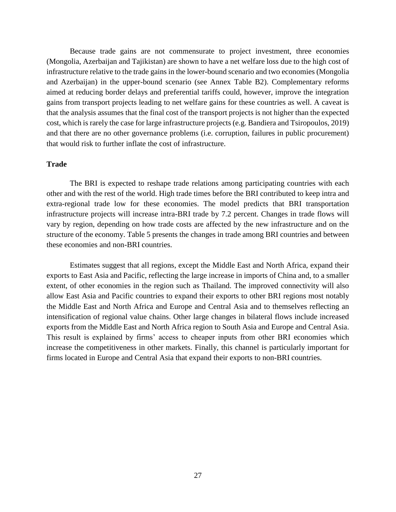Because trade gains are not commensurate to project investment, three economies (Mongolia, Azerbaijan and Tajikistan) are shown to have a net welfare loss due to the high cost of infrastructure relative to the trade gains in the lower-bound scenario and two economies (Mongolia and Azerbaijan) in the upper-bound scenario (see Annex Table B2). Complementary reforms aimed at reducing border delays and preferential tariffs could, however, improve the integration gains from transport projects leading to net welfare gains for these countries as well. A caveat is that the analysis assumes that the final cost of the transport projects is not higher than the expected cost, which is rarely the case for large infrastructure projects (e.g. Bandiera and Tsiropoulos, 2019) and that there are no other governance problems (i.e. corruption, failures in public procurement) that would risk to further inflate the cost of infrastructure.

### **Trade**

The BRI is expected to reshape trade relations among participating countries with each other and with the rest of the world. High trade times before the BRI contributed to keep intra and extra-regional trade low for these economies. The model predicts that BRI transportation infrastructure projects will increase intra-BRI trade by 7.2 percent. Changes in trade flows will vary by region, depending on how trade costs are affected by the new infrastructure and on the structure of the economy. [Table 5](#page-27-0) presents the changes in trade among BRI countries and between these economies and non-BRI countries.

Estimates suggest that all regions, except the Middle East and North Africa, expand their exports to East Asia and Pacific, reflecting the large increase in imports of China and, to a smaller extent, of other economies in the region such as Thailand. The improved connectivity will also allow East Asia and Pacific countries to expand their exports to other BRI regions most notably the Middle East and North Africa and Europe and Central Asia and to themselves reflecting an intensification of regional value chains. Other large changes in bilateral flows include increased exports from the Middle East and North Africa region to South Asia and Europe and Central Asia. This result is explained by firms' access to cheaper inputs from other BRI economies which increase the competitiveness in other markets. Finally, this channel is particularly important for firms located in Europe and Central Asia that expand their exports to non-BRI countries.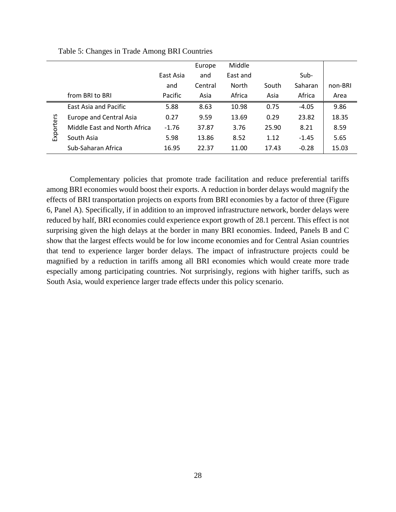<span id="page-27-0"></span>

|           |                                |           | Europe  | Middle   |       |         |         |
|-----------|--------------------------------|-----------|---------|----------|-------|---------|---------|
|           |                                | East Asia | and     | East and |       | Sub-    |         |
|           |                                | and       | Central | North    | South | Saharan | non-BRI |
|           | from BRI to BRI                | Pacific   | Asia    | Africa   | Asia  | Africa  | Area    |
|           | <b>East Asia and Pacific</b>   | 5.88      | 8.63    | 10.98    | 0.75  | $-4.05$ | 9.86    |
|           | <b>Europe and Central Asia</b> | 0.27      | 9.59    | 13.69    | 0.29  | 23.82   | 18.35   |
| Exporters | Middle East and North Africa   | $-1.76$   | 37.87   | 3.76     | 25.90 | 8.21    | 8.59    |
|           | South Asia                     | 5.98      | 13.86   | 8.52     | 1.12  | $-1.45$ | 5.65    |
|           | Sub-Saharan Africa             | 16.95     | 22.37   | 11.00    | 17.43 | $-0.28$ | 15.03   |

Table 5: Changes in Trade Among BRI Countries

Complementary policies that promote trade facilitation and reduce preferential tariffs among BRI economies would boost their exports. A reduction in border delays would magnify the effects of BRI transportation projects on exports from BRI economies by a factor of three (Figure 6, Panel A). Specifically, if in addition to an improved infrastructure network, border delays were reduced by half, BRI economies could experience export growth of 28.1 percent. This effect is not surprising given the high delays at the border in many BRI economies. Indeed, Panels B and C show that the largest effects would be for low income economies and for Central Asian countries that tend to experience larger border delays. The impact of infrastructure projects could be magnified by a reduction in tariffs among all BRI economies which would create more trade especially among participating countries. Not surprisingly, regions with higher tariffs, such as South Asia, would experience larger trade effects under this policy scenario.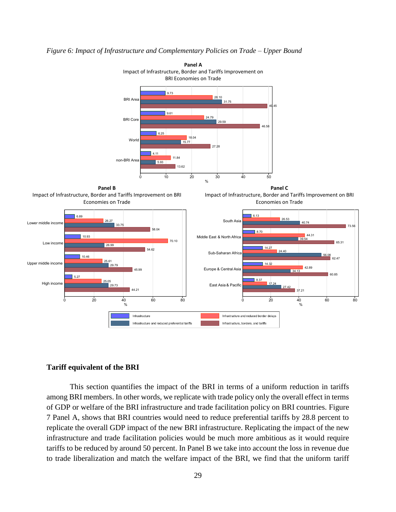

*Figure 6: Impact of Infrastructure and Complementary Policies on Trade – Upper Bound*



**Panel C** Impact of Infrastructure, Border and Tariffs Improvement on BRI Economies on Trade



#### **Tariff equivalent of the BRI**

This section quantifies the impact of the BRI in terms of a uniform reduction in tariffs among BRI members. In other words, we replicate with trade policy only the overall effect in terms of GDP or welfare of the BRI infrastructure and trade facilitation policy on BRI countries. Figure 7 Panel A, shows that BRI countries would need to reduce preferential tariffs by 28.8 percent to replicate the overall GDP impact of the new BRI infrastructure. Replicating the impact of the new infrastructure and trade facilitation policies would be much more ambitious as it would require tariffs to be reduced by around 50 percent. In Panel B we take into account the loss in revenue due to trade liberalization and match the welfare impact of the BRI, we find that the uniform tariff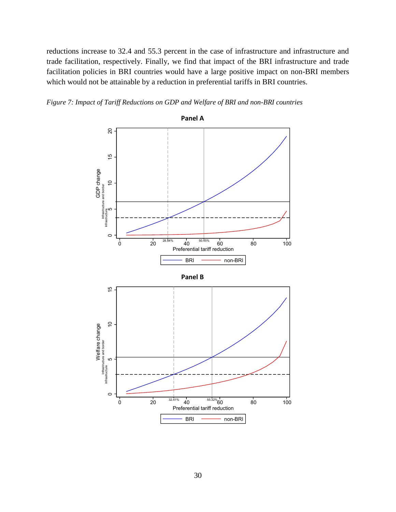reductions increase to 32.4 and 55.3 percent in the case of infrastructure and infrastructure and trade facilitation, respectively. Finally, we find that impact of the BRI infrastructure and trade facilitation policies in BRI countries would have a large positive impact on non-BRI members which would not be attainable by a reduction in preferential tariffs in BRI countries.



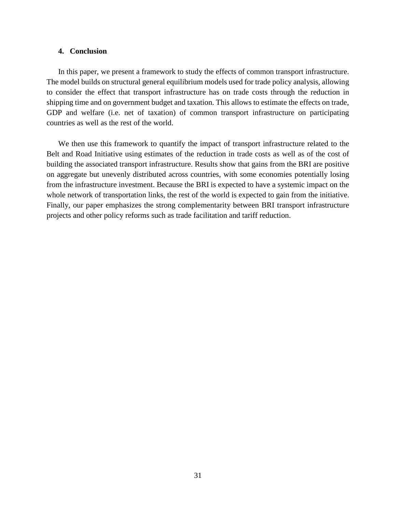#### **4. Conclusion**

In this paper, we present a framework to study the effects of common transport infrastructure. The model builds on structural general equilibrium models used for trade policy analysis, allowing to consider the effect that transport infrastructure has on trade costs through the reduction in shipping time and on government budget and taxation. This allows to estimate the effects on trade, GDP and welfare (i.e. net of taxation) of common transport infrastructure on participating countries as well as the rest of the world.

We then use this framework to quantify the impact of transport infrastructure related to the Belt and Road Initiative using estimates of the reduction in trade costs as well as of the cost of building the associated transport infrastructure. Results show that gains from the BRI are positive on aggregate but unevenly distributed across countries, with some economies potentially losing from the infrastructure investment. Because the BRI is expected to have a systemic impact on the whole network of transportation links, the rest of the world is expected to gain from the initiative. Finally, our paper emphasizes the strong complementarity between BRI transport infrastructure projects and other policy reforms such as trade facilitation and tariff reduction.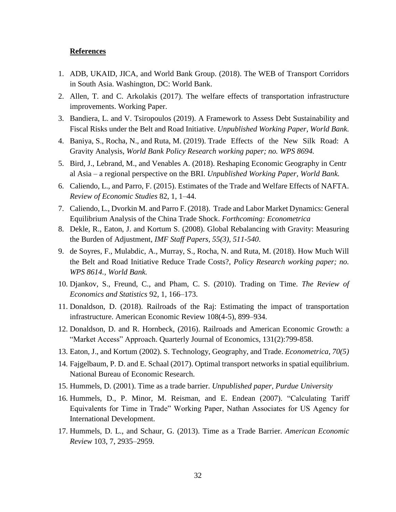#### **References**

- 1. ADB, UKAID, JICA, and World Bank Group. (2018). The WEB of Transport Corridors in South Asia. Washington, DC: World Bank.
- 2. Allen, T. and C. Arkolakis (2017). The welfare effects of transportation infrastructure improvements. Working Paper.
- 3. Bandiera, L. and V. Tsiropoulos (2019). A Framework to Assess Debt Sustainability and Fiscal Risks under the Belt and Road Initiative. *Unpublished Working Paper, World Bank.*
- 4. Baniya, S., Rocha, N., and Ruta, M. (2019). Trade Effects of the New Silk Road: A Gravity Analysis, *World Bank Policy Research working paper; no. WPS 8694.*
- 5. Bird, J., Lebrand, M., and Venables A. (2018). Reshaping Economic Geography in Centr al Asia – a regional perspective on the BRI. *Unpublished Working Paper, World Bank.*
- 6. Caliendo, L., and Parro, F. (2015). Estimates of the Trade and Welfare Effects of NAFTA. *Review of Economic Studies* 82, 1, 1–44.
- 7. Caliendo, L., Dvorkin M. and Parro F. (2018). Trade and Labor Market Dynamics: General Equilibrium Analysis of the China Trade Shock. *Forthcoming: Econometrica*
- 8. Dekle, R., Eaton, J. and Kortum S. (2008). Global Rebalancing with Gravity: Measuring the Burden of Adjustment, *IMF Staff Papers, 55(3), 511-540*.
- 9. de Soyres, F., Mulabdic, A., Murray, S., Rocha, N. and Ruta, M. (2018). How Much Will the Belt and Road Initiative Reduce Trade Costs?, *Policy Research working paper; no. WPS 8614., World Bank.*
- 10. Djankov, S., Freund, C., and Pham, C. S. (2010). Trading on Time. *The Review of Economics and Statistics* 92, 1, 166–173.
- 11. Donaldson, D. (2018). Railroads of the Raj: Estimating the impact of transportation infrastructure. American Economic Review 108(4-5), 899–934.
- 12. Donaldson, D. and R. Hornbeck, (2016). Railroads and American Economic Growth: a "Market Access" Approach. Quarterly Journal of Economics, 131(2):799-858.
- 13. Eaton, J., and Kortum (2002). S. Technology, Geography, and Trade. *Econometrica, 70(5)*
- 14. Fajgelbaum, P. D. and E. Schaal (2017). Optimal transport networks in spatial equilibrium. National Bureau of Economic Research.
- 15. Hummels, D. (2001). Time as a trade barrier. *Unpublished paper, Purdue University*
- 16. Hummels, D., P. Minor, M. Reisman, and E. Endean (2007). "Calculating Tariff Equivalents for Time in Trade" Working Paper, Nathan Associates for US Agency for International Development.
- 17. Hummels, D. L., and Schaur, G. (2013). Time as a Trade Barrier. *American Economic Review* 103, 7, 2935–2959.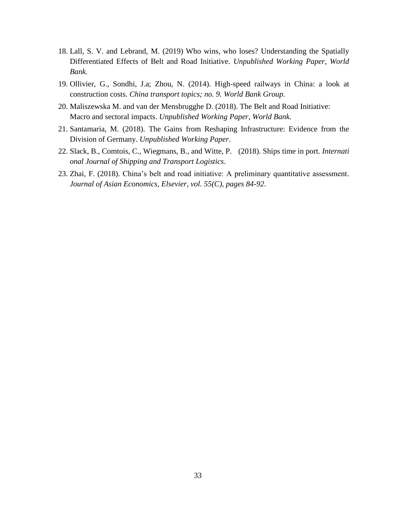- 18. Lall, S. V. and Lebrand, M. (2019) Who wins, who loses? Understanding the Spatially Differentiated Effects of Belt and Road Initiative. *Unpublished Working Paper, World Bank.*
- 19. Ollivier, G., Sondhi, J.a; Zhou, N. (2014). High-speed railways in China: a look at construction costs. *China transport topics; no. 9. World Bank Group.*
- 20. Maliszewska M. and van der Mensbrugghe D. (2018). The Belt and Road Initiative: Macro and sectoral impacts. *Unpublished Working Paper, World Bank.*
- 21. Santamaria, M. (2018). The Gains from Reshaping Infrastructure: Evidence from the Division of Germany. *Unpublished Working Paper*.
- 22. Slack, B., Comtois, C., Wiegmans, B., and Witte, P. (2018). Ships time in port. *Internati onal Journal of Shipping and Transport Logistics*.
- 23. Zhai, F. (2018). China's belt and road initiative: A preliminary quantitative assessment. *Journal of Asian Economics, Elsevier, vol. 55(C), pages 84-92*.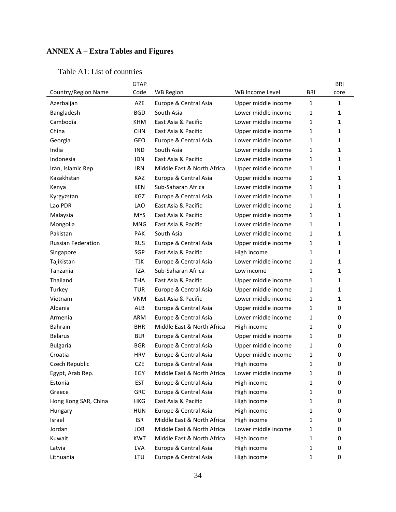## **ANNEX A – Extra Tables and Figures**

|                           | <b>GTAP</b> |                            |                     |              | <b>BRI</b> |
|---------------------------|-------------|----------------------------|---------------------|--------------|------------|
| Country/Region Name       | Code        | <b>WB Region</b>           | WB Income Level     | <b>BRI</b>   | core       |
| Azerbaijan                | AZE         | Europe & Central Asia      | Upper middle income | $\mathbf{1}$ | 1          |
| Bangladesh                | <b>BGD</b>  | South Asia                 | Lower middle income | $\mathbf{1}$ | 1          |
| Cambodia                  | <b>KHM</b>  | East Asia & Pacific        | Lower middle income | $\mathbf{1}$ | 1          |
| China                     | <b>CHN</b>  | East Asia & Pacific        | Upper middle income | $\mathbf{1}$ | 1          |
| Georgia                   | GEO         | Europe & Central Asia      | Lower middle income | $\mathbf{1}$ | 1          |
| India                     | <b>IND</b>  | South Asia                 | Lower middle income | $\mathbf{1}$ | 1          |
| Indonesia                 | <b>IDN</b>  | East Asia & Pacific        | Lower middle income | $\mathbf{1}$ | 1          |
| Iran, Islamic Rep.        | <b>IRN</b>  | Middle East & North Africa | Upper middle income | $\mathbf{1}$ | 1          |
| Kazakhstan                | KAZ         | Europe & Central Asia      | Upper middle income | $\mathbf{1}$ | 1          |
| Kenya                     | KEN         | Sub-Saharan Africa         | Lower middle income | 1            | 1          |
| Kyrgyzstan                | KGZ         | Europe & Central Asia      | Lower middle income | $\mathbf{1}$ | 1          |
| Lao PDR                   | LAO         | East Asia & Pacific        | Lower middle income | $\mathbf{1}$ | 1          |
| Malaysia                  | <b>MYS</b>  | East Asia & Pacific        | Upper middle income | $\mathbf{1}$ | 1          |
| Mongolia                  | <b>MNG</b>  | East Asia & Pacific        | Lower middle income | 1            | 1          |
| Pakistan                  | <b>PAK</b>  | South Asia                 | Lower middle income | $\mathbf{1}$ | 1          |
| <b>Russian Federation</b> | <b>RUS</b>  | Europe & Central Asia      | Upper middle income | 1            | 1          |
| Singapore                 | SGP         | East Asia & Pacific        | High income         | $\mathbf{1}$ | 1          |
| Tajikistan                | <b>TJK</b>  | Europe & Central Asia      | Lower middle income | $\mathbf{1}$ | 1          |
| Tanzania                  | <b>TZA</b>  | Sub-Saharan Africa         | Low income          | $\mathbf{1}$ | 1          |
| Thailand                  | <b>THA</b>  | East Asia & Pacific        | Upper middle income | 1            | 1          |
| Turkey                    | <b>TUR</b>  | Europe & Central Asia      | Upper middle income | 1            | 1          |
| Vietnam                   | <b>VNM</b>  | East Asia & Pacific        | Lower middle income | $\mathbf{1}$ | 1          |
| Albania                   | ALB         | Europe & Central Asia      | Upper middle income | $\mathbf{1}$ | 0          |
| Armenia                   | ARM         | Europe & Central Asia      | Lower middle income | 1            | 0          |
| Bahrain                   | <b>BHR</b>  | Middle East & North Africa | High income         | $\mathbf{1}$ | 0          |
| <b>Belarus</b>            | <b>BLR</b>  | Europe & Central Asia      | Upper middle income | 1            | 0          |
| <b>Bulgaria</b>           | <b>BGR</b>  | Europe & Central Asia      | Upper middle income | $\mathbf{1}$ | 0          |
| Croatia                   | <b>HRV</b>  | Europe & Central Asia      | Upper middle income | 1            | 0          |
| Czech Republic            | <b>CZE</b>  | Europe & Central Asia      | High income         | 1            | 0          |
| Egypt, Arab Rep.          | EGY         | Middle East & North Africa | Lower middle income | 1            | 0          |
| Estonia                   | <b>EST</b>  | Europe & Central Asia      | High income         | 1            | 0          |
| Greece                    | <b>GRC</b>  | Europe & Central Asia      | High income         | 1            | 0          |
| Hong Kong SAR, China      | HKG         | East Asia & Pacific        | High income         | 1            | 0          |
| Hungary                   | <b>HUN</b>  | Europe & Central Asia      | High income         | 1            | 0          |
| Israel                    | <b>ISR</b>  | Middle East & North Africa | High income         | 1            | 0          |
| Jordan                    | <b>JOR</b>  | Middle East & North Africa | Lower middle income | 1            | 0          |
| Kuwait                    | <b>KWT</b>  | Middle East & North Africa | High income         | 1            | 0          |
| Latvia                    | <b>LVA</b>  | Europe & Central Asia      | High income         | 1            | 0          |
| Lithuania                 | LTU         | Europe & Central Asia      | High income         | 1            | 0          |

## Table A1: List of countries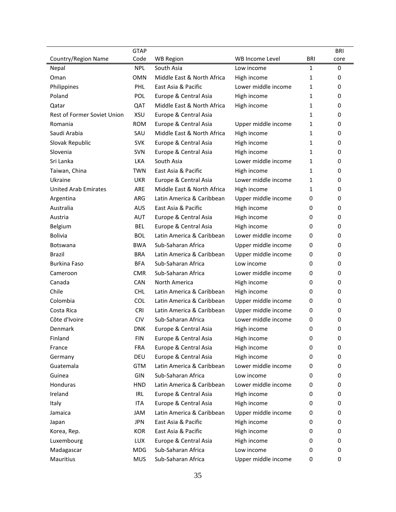|                             | <b>GTAP</b> |                            |                     |              | <b>BRI</b>  |
|-----------------------------|-------------|----------------------------|---------------------|--------------|-------------|
| Country/Region Name         | Code        | <b>WB Region</b>           | WB Income Level     | <b>BRI</b>   | core        |
| Nepal                       | <b>NPL</b>  | South Asia                 | Low income          | $\mathbf{1}$ | $\mathbf 0$ |
| Oman                        | <b>OMN</b>  | Middle East & North Africa | High income         | 1            | 0           |
| Philippines                 | <b>PHL</b>  | East Asia & Pacific        | Lower middle income | $\mathbf{1}$ | 0           |
| Poland                      | <b>POL</b>  | Europe & Central Asia      | High income         | $\mathbf{1}$ | 0           |
| Qatar                       | QAT         | Middle East & North Africa | High income         | 1            | 0           |
| Rest of Former Soviet Union | XSU         | Europe & Central Asia      |                     | 1            | 0           |
| Romania                     | <b>ROM</b>  | Europe & Central Asia      | Upper middle income | 1            | 0           |
| Saudi Arabia                | SAU         | Middle East & North Africa | High income         | $\mathbf{1}$ | 0           |
| Slovak Republic             | <b>SVK</b>  | Europe & Central Asia      | High income         | 1            | 0           |
| Slovenia                    | <b>SVN</b>  | Europe & Central Asia      | High income         | 1            | 0           |
| Sri Lanka                   | <b>LKA</b>  | South Asia                 | Lower middle income | 1            | 0           |
| Taiwan, China               | <b>TWN</b>  | East Asia & Pacific        | High income         | 1            | 0           |
| Ukraine                     | <b>UKR</b>  | Europe & Central Asia      | Lower middle income | 1            | 0           |
| <b>United Arab Emirates</b> | ARE         | Middle East & North Africa | High income         | $\mathbf{1}$ | 0           |
| Argentina                   | ARG         | Latin America & Caribbean  | Upper middle income | 0            | 0           |
| Australia                   | <b>AUS</b>  | East Asia & Pacific        | High income         | 0            | 0           |
| Austria                     | <b>AUT</b>  | Europe & Central Asia      | High income         | 0            | 0           |
| Belgium                     | BEL         | Europe & Central Asia      | High income         | 0            | 0           |
| <b>Bolivia</b>              | <b>BOL</b>  | Latin America & Caribbean  | Lower middle income | 0            | 0           |
| <b>Botswana</b>             | <b>BWA</b>  | Sub-Saharan Africa         | Upper middle income | 0            | 0           |
| Brazil                      | <b>BRA</b>  | Latin America & Caribbean  | Upper middle income | 0            | 0           |
| <b>Burkina Faso</b>         | <b>BFA</b>  | Sub-Saharan Africa         | Low income          | 0            | 0           |
| Cameroon                    | <b>CMR</b>  | Sub-Saharan Africa         | Lower middle income | 0            | 0           |
| Canada                      | <b>CAN</b>  | North America              | High income         | 0            | 0           |
| Chile                       | <b>CHL</b>  | Latin America & Caribbean  | High income         | 0            | 0           |
| Colombia                    | <b>COL</b>  | Latin America & Caribbean  | Upper middle income | 0            | 0           |
| Costa Rica                  | <b>CRI</b>  | Latin America & Caribbean  | Upper middle income | 0            | 0           |
| Côte d'Ivoire               | <b>CIV</b>  | Sub-Saharan Africa         | Lower middle income | 0            | 0           |
| Denmark                     | <b>DNK</b>  | Europe & Central Asia      | High income         | 0            | $\mathbf 0$ |
| Finland                     | <b>FIN</b>  | Europe & Central Asia      | High income         | 0            | 0           |
| France                      | <b>FRA</b>  | Europe & Central Asia      | High income         | 0            | 0           |
| Germany                     | DEU         | Europe & Central Asia      | High income         | 0            | 0           |
| Guatemala                   | <b>GTM</b>  | Latin America & Caribbean  | Lower middle income | 0            | 0           |
| Guinea                      | GIN         | Sub-Saharan Africa         | Low income          | 0            | 0           |
| Honduras                    | <b>HND</b>  | Latin America & Caribbean  | Lower middle income | 0            | 0           |
| Ireland                     | <b>IRL</b>  | Europe & Central Asia      | High income         | 0            | 0           |
| Italy                       | <b>ITA</b>  | Europe & Central Asia      | High income         | 0            | 0           |
| Jamaica                     | JAM         | Latin America & Caribbean  | Upper middle income | 0            | 0           |
| Japan                       | JPN         | East Asia & Pacific        | High income         | 0            | 0           |
| Korea, Rep.                 | <b>KOR</b>  | East Asia & Pacific        | High income         | 0            | 0           |
| Luxembourg                  | LUX         | Europe & Central Asia      | High income         | 0            | 0           |
| Madagascar                  | MDG         | Sub-Saharan Africa         | Low income          | 0            | 0           |
| Mauritius                   | <b>MUS</b>  | Sub-Saharan Africa         | Upper middle income | 0            | 0           |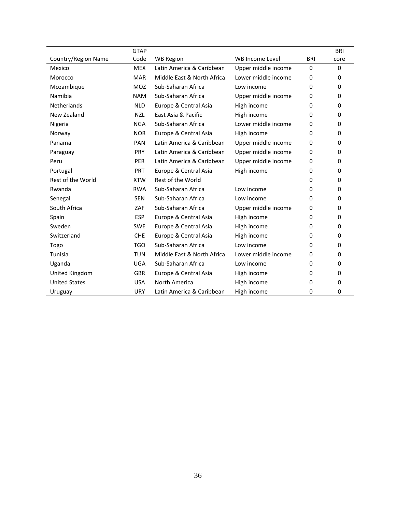|                      | <b>GTAP</b> |                            |                     |             | <b>BRI</b> |
|----------------------|-------------|----------------------------|---------------------|-------------|------------|
| Country/Region Name  | Code        | <b>WB Region</b>           | WB Income Level     | <b>BRI</b>  | core       |
| Mexico               | <b>MEX</b>  | Latin America & Caribbean  | Upper middle income | $\mathbf 0$ | 0          |
| Morocco              | <b>MAR</b>  | Middle East & North Africa | Lower middle income | 0           | 0          |
| Mozambique           | <b>MOZ</b>  | Sub-Saharan Africa         | Low income          | 0           | 0          |
| Namibia              | <b>NAM</b>  | Sub-Saharan Africa         | Upper middle income | 0           | 0          |
| <b>Netherlands</b>   | <b>NLD</b>  | Europe & Central Asia      | High income         | 0           | 0          |
| New Zealand          | <b>NZL</b>  | East Asia & Pacific        | High income         | 0           | 0          |
| Nigeria              | <b>NGA</b>  | Sub-Saharan Africa         | Lower middle income | 0           | 0          |
| Norway               | <b>NOR</b>  | Europe & Central Asia      | High income         | 0           | 0          |
| Panama               | <b>PAN</b>  | Latin America & Caribbean  | Upper middle income | 0           | 0          |
| Paraguay             | <b>PRY</b>  | Latin America & Caribbean  | Upper middle income | 0           | 0          |
| Peru                 | PER         | Latin America & Caribbean  | Upper middle income | 0           | 0          |
| Portugal             | <b>PRT</b>  | Europe & Central Asia      | High income         | 0           | 0          |
| Rest of the World    | <b>XTW</b>  | Rest of the World          |                     | 0           | 0          |
| Rwanda               | <b>RWA</b>  | Sub-Saharan Africa         | Low income          | 0           | 0          |
| Senegal              | <b>SEN</b>  | Sub-Saharan Africa         | Low income          | 0           | 0          |
| South Africa         | ZAF         | Sub-Saharan Africa         | Upper middle income | $\mathbf 0$ | 0          |
| Spain                | <b>ESP</b>  | Europe & Central Asia      | High income         | 0           | 0          |
| Sweden               | <b>SWE</b>  | Europe & Central Asia      | High income         | 0           | 0          |
| Switzerland          | <b>CHE</b>  | Europe & Central Asia      | High income         | 0           | 0          |
| Togo                 | <b>TGO</b>  | Sub-Saharan Africa         | Low income          | 0           | 0          |
| Tunisia              | <b>TUN</b>  | Middle East & North Africa | Lower middle income | 0           | 0          |
| Uganda               | UGA         | Sub-Saharan Africa         | Low income          | 0           | 0          |
| United Kingdom       | <b>GBR</b>  | Europe & Central Asia      | High income         | $\mathbf 0$ | 0          |
| <b>United States</b> | <b>USA</b>  | North America              | High income         | 0           | 0          |
| Uruguay              | URY         | Latin America & Caribbean  | High income         | 0           | 0          |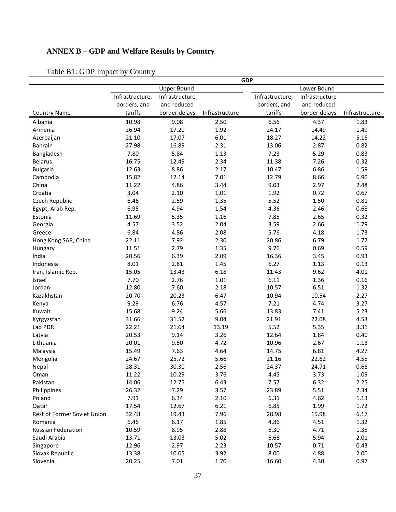# **ANNEX B – GDP and Welfare Results by Country**

|                             |                 |                    |                | <b>GDP</b>      |                |                |
|-----------------------------|-----------------|--------------------|----------------|-----------------|----------------|----------------|
|                             |                 | <b>Upper Bound</b> |                |                 | Lower Bound    |                |
|                             | Infrastructure, | Infrastructure     |                | Infrastructure, | Infrastructure |                |
|                             | borders, and    | and reduced        |                | borders, and    | and reduced    |                |
| <b>Country Name</b>         | tariffs         | border delays      | Infrastructure | tariffs         | border delays  | Infrastructure |
| Albania                     | 10.98           | 9.08               | 2.50           | 6.56            | 4.37           | 1.83           |
| Armenia                     | 26.94           | 17.20              | 1.92           | 24.17           | 14.49          | 1.49           |
| Azerbaijan                  | 21.10           | 17.07              | 6.01           | 18.27           | 14.22          | 5.16           |
| Bahrain                     | 27.98           | 16.89              | 2.31           | 13.06           | 2.87           | 0.82           |
| Bangladesh                  | 7.80            | 5.84               | 1.13           | 7.23            | 5.29           | 0.83           |
| <b>Belarus</b>              | 16.75           | 12.49              | 2.34           | 11.38           | 7.26           | 0.32           |
| <b>Bulgaria</b>             | 12.63           | 8.86               | 2.17           | 10.47           | 6.86           | 1.59           |
| Cambodia                    | 15.82           | 12.14              | 7.01           | 12.79           | 8.66           | 6.90           |
| China                       | 11.22           | 4.86               | 3.44           | 9.03            | 2.97           | 2.48           |
| Croatia                     | 3.04            | 2.10               | 1.01           | 1.92            | 0.72           | 0.67           |
| Czech Republic              | 6.46            | 2.59               | 1.35           | 5.52            | 1.50           | 0.81           |
| Egypt, Arab Rep.            | 6.95            | 4.94               | 1.54           | 4.36            | 2.46           | 0.68           |
| Estonia                     | 11.69           | 5.35               | 1.16           | 7.85            | 2.65           | 0.32           |
| Georgia                     | 4.57            | 3.52               | 2.04           | 3.59            | 2.66           | 1.79           |
| Greece                      | 6.84            | 4.86               | 2.08           | 5.76            | 4.18           | 1.73           |
| Hong Kong SAR, China        | 22.11           | 7.92               | 2.30           | 20.86           | 6.79           | 1.77           |
| Hungary                     | 11.51           | 2.79               | 1.35           | 9.76            | 0.69           | 0.59           |
| India                       | 20.56           | 6.39               | 2.09           | 16.36           | 3.45           | 0.93           |
| Indonesia                   | 8.01            | 2.81               | 1.45           | 6.27            | 1.13           | 0.13           |
| Iran, Islamic Rep.          | 15.05           | 13.43              | 6.18           | 11.43           | 9.62           | 4.01           |
| Israel                      | 7.70            | 2.76               | $1.01\,$       | 6.11            | 1.36           | 0.16           |
| Jordan                      | 12.80           | 7.60               | 2.18           | 10.57           | 6.51           | 1.32           |
| Kazakhstan                  | 20.70           | 20.23              | 6.47           | 10.94           | 10.54          | 2.27           |
| Kenya                       | 9.29            | 6.76               | 4.57           | 7.21            | 4.74           | 3.27           |
| Kuwait                      | 15.68           | 9.24               | 5.66           | 13.83           | 7.41           | 5.23           |
| Kyrgyzstan                  | 31.66           | 31.52              | 9.04           | 21.91           | 22.08          | 4.53           |
| Lao PDR                     | 22.21           | 21.64              | 13.19          | 5.52            | 5.35           | 3.31           |
| Latvia                      | 20.53           | 9.14               | 3.26           | 12.64           | 1.84           | 0.40           |
| Lithuania                   | 20.01           | 9.50               | 4.72           | 10.96           | 2.67           | 1.13           |
| Malaysia                    | 15.49           | 7.63               | 4.64           | 14.75           | 6.81           | 4.27           |
| Mongolia                    | 24.67           | 25.72              | 5.66           | 21.16           | 22.62          | 4.55           |
| Nepal                       | 28.31           | 30.30              | 2.56           | 24.37           | 24.71          | 0.66           |
| Oman                        | 11.22           | 10.29              | 3.76           | 4.45            | 3.73           | 1.09           |
| Pakistan                    | 14.06           | 12.75              | 6.43           | 7.57            | 6.32           | 2.25           |
| Philippines                 | 26.32           | 7.29               | 3.57           | 23.89           | 5.51           | 2.34           |
| Poland                      | 7.91            | 6.34               | 2.10           | 6.31            | 4.62           | 1.13           |
| Qatar                       | 17.54           | 12.67              | 6.21           | 6.85            | 1.99           | 1.72           |
| Rest of Former Soviet Union | 32.48           | 19.43              | 7.96           | 28.98           | 15.98          | 6.17           |
| Romania                     | 6.46            | 6.17               | 1.85           | 4.86            | 4.51           | 1.32           |
| <b>Russian Federation</b>   | 10.59           | 8.95               | 2.88           | 6.30            | 4.71           | 1.35           |
| Saudi Arabia                | 13.71           | 13.03              | 5.02           | 6.66            | 5.94           | 2.01           |
| Singapore                   | 12.96           | 2.97               | 2.23           | 10.57           | 0.71           | 0.43           |
| Slovak Republic             | 13.38           | 10.05              | 3.92           | 8.00            | 4.88           | 2.00           |
| Slovenia                    | 20.25           | 7.01               | 1.70           | 16.60           | 4.30           | 0.97           |

Table B1: GDP Impact by Country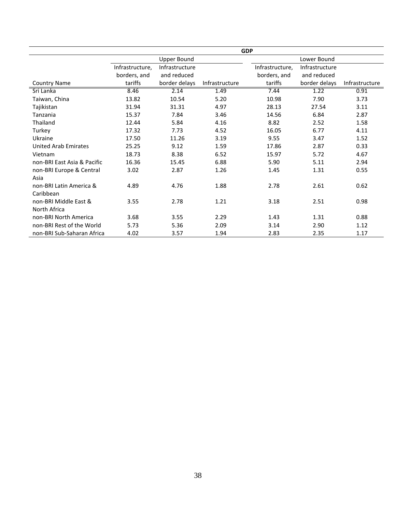|                             |                 |                    |                | <b>GDP</b>      |                |                |
|-----------------------------|-----------------|--------------------|----------------|-----------------|----------------|----------------|
|                             |                 | <b>Upper Bound</b> |                |                 | Lower Bound    |                |
|                             | Infrastructure, | Infrastructure     |                | Infrastructure, | Infrastructure |                |
|                             | borders, and    | and reduced        |                | borders, and    | and reduced    |                |
| <b>Country Name</b>         | tariffs         | border delays      | Infrastructure | tariffs         | border delays  | Infrastructure |
| Sri Lanka                   | 8.46            | 2.14               | 1.49           | 7.44            | 1.22           | 0.91           |
| Taiwan, China               | 13.82           | 10.54              | 5.20           | 10.98           | 7.90           | 3.73           |
| Tajikistan                  | 31.94           | 31.31              | 4.97           | 28.13           | 27.54          | 3.11           |
| Tanzania                    | 15.37           | 7.84               | 3.46           | 14.56           | 6.84           | 2.87           |
| Thailand                    | 12.44           | 5.84               | 4.16           | 8.82            | 2.52           | 1.58           |
| Turkey                      | 17.32           | 7.73               | 4.52           | 16.05           | 6.77           | 4.11           |
| Ukraine                     | 17.50           | 11.26              | 3.19           | 9.55            | 3.47           | 1.52           |
| <b>United Arab Emirates</b> | 25.25           | 9.12               | 1.59           | 17.86           | 2.87           | 0.33           |
| Vietnam                     | 18.73           | 8.38               | 6.52           | 15.97           | 5.72           | 4.67           |
| non-BRI East Asia & Pacific | 16.36           | 15.45              | 6.88           | 5.90            | 5.11           | 2.94           |
| non-BRI Europe & Central    | 3.02            | 2.87               | 1.26           | 1.45            | 1.31           | 0.55           |
| Asia                        |                 |                    |                |                 |                |                |
| non-BRI Latin America &     | 4.89            | 4.76               | 1.88           | 2.78            | 2.61           | 0.62           |
| Caribbean                   |                 |                    |                |                 |                |                |
| non-BRI Middle East &       | 3.55            | 2.78               | 1.21           | 3.18            | 2.51           | 0.98           |
| North Africa                |                 |                    |                |                 |                |                |
| non-BRI North America       | 3.68            | 3.55               | 2.29           | 1.43            | 1.31           | 0.88           |
| non-BRI Rest of the World   | 5.73            | 5.36               | 2.09           | 3.14            | 2.90           | 1.12           |
| non-BRI Sub-Saharan Africa  | 4.02            | 3.57               | 1.94           | 2.83            | 2.35           | 1.17           |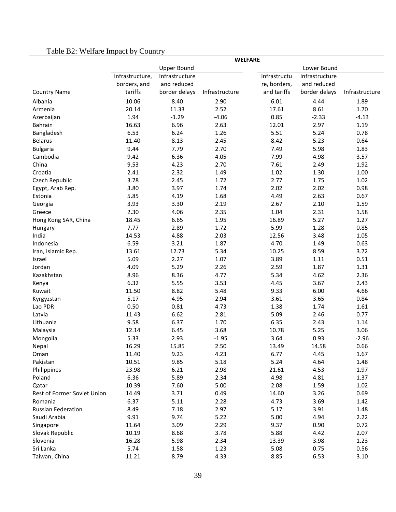|                             | <b>WELFARE</b>  |                    |                |              |                |                |
|-----------------------------|-----------------|--------------------|----------------|--------------|----------------|----------------|
|                             |                 | <b>Upper Bound</b> |                |              | Lower Bound    |                |
|                             | Infrastructure, | Infrastructure     |                | Infrastructu | Infrastructure |                |
|                             | borders, and    | and reduced        |                | re, borders, | and reduced    |                |
| <b>Country Name</b>         | tariffs         | border delays      | Infrastructure | and tariffs  | border delays  | Infrastructure |
| Albania                     | 10.06           | 8.40               | 2.90           | 6.01         | 4.44           | 1.89           |
| Armenia                     | 20.14           | 11.33              | 2.52           | 17.61        | 8.61           | 1.70           |
| Azerbaijan                  | 1.94            | $-1.29$            | $-4.06$        | 0.85         | $-2.33$        | $-4.13$        |
| Bahrain                     | 16.63           | 6.96               | 2.63           | 12.01        | 2.97           | 1.19           |
| Bangladesh                  | 6.53            | 6.24               | 1.26           | 5.51         | 5.24           | 0.78           |
| <b>Belarus</b>              | 11.40           | 8.13               | 2.45           | 8.42         | 5.23           | 0.64           |
| <b>Bulgaria</b>             | 9.44            | 7.79               | 2.70           | 7.49         | 5.98           | 1.83           |
| Cambodia                    | 9.42            | 6.36               | 4.05           | 7.99         | 4.98           | 3.57           |
| China                       | 9.53            | 4.23               | 2.70           | 7.61         | 2.49           | 1.92           |
| Croatia                     | 2.41            | 2.32               | 1.49           | 1.02         | 1.30           | 1.00           |
| Czech Republic              | 3.78            | 2.45               | 1.72           | 2.77         | 1.75           | 1.02           |
| Egypt, Arab Rep.            | 3.80            | 3.97               | 1.74           | 2.02         | 2.02           | 0.98           |
| Estonia                     | 5.85            | 4.19               | 1.68           | 4.49         | 2.63           | 0.67           |
| Georgia                     | 3.93            | 3.30               | 2.19           | 2.67         | 2.10           | 1.59           |
| Greece                      | 2.30            | 4.06               | 2.35           | 1.04         | 2.31           | 1.58           |
| Hong Kong SAR, China        | 18.45           | 6.65               | 1.95           | 16.89        | 5.27           | 1.27           |
| Hungary                     | 7.77            | 2.89               | 1.72           | 5.99         | 1.28           | 0.85           |
| India                       | 14.53           | 4.88               | 2.03           | 12.56        | 3.48           | 1.05           |
| Indonesia                   | 6.59            | 3.21               | 1.87           | 4.70         | 1.49           | 0.63           |
| Iran, Islamic Rep.          | 13.61           | 12.73              | 5.34           | 10.25        | 8.59           | 3.72           |
| Israel                      | 5.09            | 2.27               | 1.07           | 3.89         | 1.11           | 0.51           |
| Jordan                      | 4.09            | 5.29               | 2.26           | 2.59         | 1.87           | 1.31           |
| Kazakhstan                  | 8.96            | 8.36               | 4.77           | 5.34         | 4.62           | 2.36           |
| Kenya                       | 6.32            | 5.55               | 3.53           | 4.45         | 3.67           | 2.43           |
| Kuwait                      | 11.50           | 8.82               | 5.48           | 9.33         | 6.00           | 4.66           |
| Kyrgyzstan                  | 5.17            | 4.95               | 2.94           | 3.61         | 3.65           | 0.84           |
| Lao PDR                     | 0.50            | 0.81               | 4.73           | 1.38         | 1.74           | 1.61           |
| Latvia                      | 11.43           | 6.62               | 2.81           | 5.09         | 2.46           | 0.77           |
| Lithuania                   | 9.58            | 6.37               | 1.70           | 6.35         | 2.43           | 1.14           |
| Malaysia                    | 12.14           | 6.45               | 3.68           | 10.78        | 5.25           | 3.06           |
| Mongolia                    | 5.33            | 2.93               | $-1.95$        | 3.64         | 0.93           | $-2.96$        |
| Nepal                       | 16.29           | 15.85              | 2.50           | 13.49        | 14.58          | 0.66           |
| Oman                        | 11.40           | 9.23               | 4.23           | 6.77         | 4.45           | 1.67           |
| Pakistan                    | 10.51           | 9.85               | 5.18           | 5.24         | 4.64           | 1.48           |
| Philippines                 | 23.98           | 6.21               | 2.98           | 21.61        | 4.53           | 1.97           |
| Poland                      | 6.36            | 5.89               | 2.34           | 4.98         | 4.81           | 1.37           |
| Qatar                       | 10.39           | 7.60               | 5.00           | 2.08         | 1.59           | 1.02           |
| Rest of Former Soviet Union | 14.49           | 3.71               | 0.49           | 14.60        | 3.26           | 0.69           |
| Romania                     | 6.37            | 5.11               | 2.28           | 4.73         | 3.69           | 1.42           |
| <b>Russian Federation</b>   | 8.49            | 7.18               | 2.97           | 5.17         | 3.91           | 1.48           |
| Saudi Arabia                | 9.91            | 9.74               | 5.22           | 5.00         | 4.94           | 2.22           |
| Singapore                   | 11.64           | 3.09               | 2.29           | 9.37         | 0.90           | 0.72           |
| Slovak Republic             | 10.19           | 8.68               | 3.78           | 5.88         | 4.42           | 2.07           |
| Slovenia                    | 16.28           | 5.98               | 2.34           | 13.39        | 3.98           | 1.23           |
| Sri Lanka                   | 5.74            | 1.58               | 1.23           | 5.08         | 0.75           | 0.56           |
| Taiwan, China               | 11.21           | 8.79               | 4.33           | 8.85         | 6.53           | 3.10           |